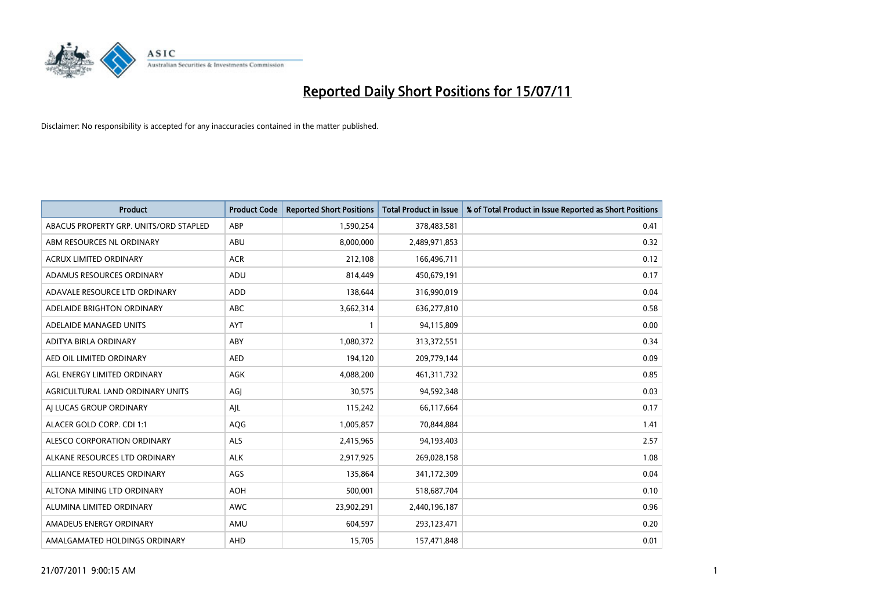

| <b>Product</b>                         | <b>Product Code</b> | <b>Reported Short Positions</b> | <b>Total Product in Issue</b> | % of Total Product in Issue Reported as Short Positions |
|----------------------------------------|---------------------|---------------------------------|-------------------------------|---------------------------------------------------------|
| ABACUS PROPERTY GRP. UNITS/ORD STAPLED | ABP                 | 1,590,254                       | 378,483,581                   | 0.41                                                    |
| ABM RESOURCES NL ORDINARY              | ABU                 | 8,000,000                       | 2,489,971,853                 | 0.32                                                    |
| <b>ACRUX LIMITED ORDINARY</b>          | <b>ACR</b>          | 212,108                         | 166,496,711                   | 0.12                                                    |
| ADAMUS RESOURCES ORDINARY              | ADU                 | 814,449                         | 450,679,191                   | 0.17                                                    |
| ADAVALE RESOURCE LTD ORDINARY          | ADD                 | 138,644                         | 316,990,019                   | 0.04                                                    |
| ADELAIDE BRIGHTON ORDINARY             | <b>ABC</b>          | 3,662,314                       | 636,277,810                   | 0.58                                                    |
| ADELAIDE MANAGED UNITS                 | <b>AYT</b>          |                                 | 94,115,809                    | 0.00                                                    |
| ADITYA BIRLA ORDINARY                  | ABY                 | 1,080,372                       | 313,372,551                   | 0.34                                                    |
| AED OIL LIMITED ORDINARY               | <b>AED</b>          | 194,120                         | 209,779,144                   | 0.09                                                    |
| AGL ENERGY LIMITED ORDINARY            | <b>AGK</b>          | 4,088,200                       | 461,311,732                   | 0.85                                                    |
| AGRICULTURAL LAND ORDINARY UNITS       | AGJ                 | 30,575                          | 94,592,348                    | 0.03                                                    |
| AI LUCAS GROUP ORDINARY                | AIL                 | 115,242                         | 66,117,664                    | 0.17                                                    |
| ALACER GOLD CORP. CDI 1:1              | AQG                 | 1,005,857                       | 70,844,884                    | 1.41                                                    |
| ALESCO CORPORATION ORDINARY            | <b>ALS</b>          | 2,415,965                       | 94,193,403                    | 2.57                                                    |
| ALKANE RESOURCES LTD ORDINARY          | <b>ALK</b>          | 2,917,925                       | 269,028,158                   | 1.08                                                    |
| ALLIANCE RESOURCES ORDINARY            | AGS                 | 135,864                         | 341,172,309                   | 0.04                                                    |
| ALTONA MINING LTD ORDINARY             | <b>AOH</b>          | 500,001                         | 518,687,704                   | 0.10                                                    |
| ALUMINA LIMITED ORDINARY               | <b>AWC</b>          | 23,902,291                      | 2,440,196,187                 | 0.96                                                    |
| AMADEUS ENERGY ORDINARY                | AMU                 | 604,597                         | 293,123,471                   | 0.20                                                    |
| AMALGAMATED HOLDINGS ORDINARY          | AHD                 | 15,705                          | 157,471,848                   | 0.01                                                    |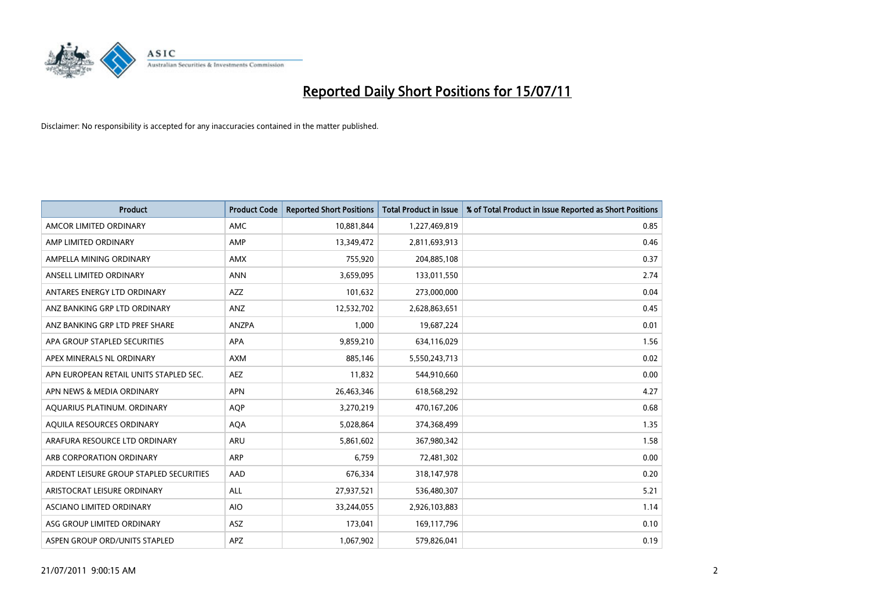

| <b>Product</b>                          | <b>Product Code</b> | <b>Reported Short Positions</b> | <b>Total Product in Issue</b> | % of Total Product in Issue Reported as Short Positions |
|-----------------------------------------|---------------------|---------------------------------|-------------------------------|---------------------------------------------------------|
| AMCOR LIMITED ORDINARY                  | AMC.                | 10,881,844                      | 1,227,469,819                 | 0.85                                                    |
| AMP LIMITED ORDINARY                    | AMP                 | 13,349,472                      | 2,811,693,913                 | 0.46                                                    |
| AMPELLA MINING ORDINARY                 | <b>AMX</b>          | 755,920                         | 204,885,108                   | 0.37                                                    |
| ANSELL LIMITED ORDINARY                 | <b>ANN</b>          | 3,659,095                       | 133,011,550                   | 2.74                                                    |
| ANTARES ENERGY LTD ORDINARY             | <b>AZZ</b>          | 101,632                         | 273,000,000                   | 0.04                                                    |
| ANZ BANKING GRP LTD ORDINARY            | ANZ                 | 12,532,702                      | 2,628,863,651                 | 0.45                                                    |
| ANZ BANKING GRP LTD PREF SHARE          | <b>ANZPA</b>        | 1.000                           | 19,687,224                    | 0.01                                                    |
| APA GROUP STAPLED SECURITIES            | <b>APA</b>          | 9,859,210                       | 634,116,029                   | 1.56                                                    |
| APEX MINERALS NL ORDINARY               | <b>AXM</b>          | 885,146                         | 5,550,243,713                 | 0.02                                                    |
| APN EUROPEAN RETAIL UNITS STAPLED SEC.  | <b>AEZ</b>          | 11,832                          | 544,910,660                   | 0.00                                                    |
| APN NEWS & MEDIA ORDINARY               | <b>APN</b>          | 26,463,346                      | 618,568,292                   | 4.27                                                    |
| AQUARIUS PLATINUM. ORDINARY             | <b>AOP</b>          | 3,270,219                       | 470,167,206                   | 0.68                                                    |
| AQUILA RESOURCES ORDINARY               | <b>AQA</b>          | 5,028,864                       | 374,368,499                   | 1.35                                                    |
| ARAFURA RESOURCE LTD ORDINARY           | ARU                 | 5,861,602                       | 367,980,342                   | 1.58                                                    |
| ARB CORPORATION ORDINARY                | ARP                 | 6,759                           | 72,481,302                    | 0.00                                                    |
| ARDENT LEISURE GROUP STAPLED SECURITIES | AAD                 | 676,334                         | 318,147,978                   | 0.20                                                    |
| ARISTOCRAT LEISURE ORDINARY             | <b>ALL</b>          | 27,937,521                      | 536,480,307                   | 5.21                                                    |
| ASCIANO LIMITED ORDINARY                | <b>AIO</b>          | 33,244,055                      | 2,926,103,883                 | 1.14                                                    |
| ASG GROUP LIMITED ORDINARY              | <b>ASZ</b>          | 173,041                         | 169,117,796                   | 0.10                                                    |
| ASPEN GROUP ORD/UNITS STAPLED           | <b>APZ</b>          | 1,067,902                       | 579,826,041                   | 0.19                                                    |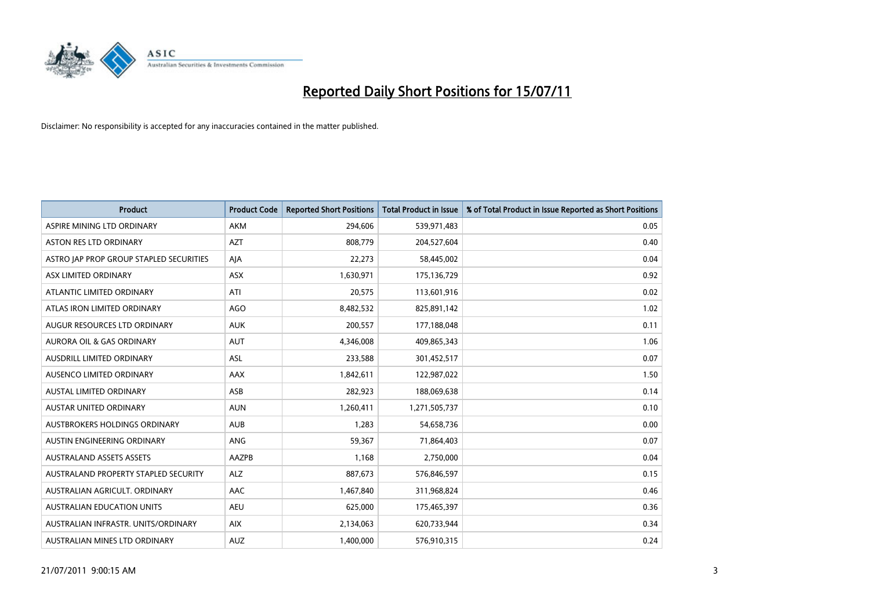

| <b>Product</b>                          | <b>Product Code</b> | <b>Reported Short Positions</b> | Total Product in Issue | % of Total Product in Issue Reported as Short Positions |
|-----------------------------------------|---------------------|---------------------------------|------------------------|---------------------------------------------------------|
| ASPIRE MINING LTD ORDINARY              | <b>AKM</b>          | 294,606                         | 539,971,483            | 0.05                                                    |
| ASTON RES LTD ORDINARY                  | <b>AZT</b>          | 808,779                         | 204,527,604            | 0.40                                                    |
| ASTRO JAP PROP GROUP STAPLED SECURITIES | AJA                 | 22,273                          | 58,445,002             | 0.04                                                    |
| ASX LIMITED ORDINARY                    | ASX                 | 1,630,971                       | 175,136,729            | 0.92                                                    |
| ATLANTIC LIMITED ORDINARY               | ATI                 | 20,575                          | 113,601,916            | 0.02                                                    |
| ATLAS IRON LIMITED ORDINARY             | <b>AGO</b>          | 8,482,532                       | 825,891,142            | 1.02                                                    |
| AUGUR RESOURCES LTD ORDINARY            | <b>AUK</b>          | 200,557                         | 177,188,048            | 0.11                                                    |
| AURORA OIL & GAS ORDINARY               | <b>AUT</b>          | 4,346,008                       | 409,865,343            | 1.06                                                    |
| AUSDRILL LIMITED ORDINARY               | ASL                 | 233,588                         | 301,452,517            | 0.07                                                    |
| AUSENCO LIMITED ORDINARY                | AAX                 | 1,842,611                       | 122,987,022            | 1.50                                                    |
| AUSTAL LIMITED ORDINARY                 | ASB                 | 282,923                         | 188,069,638            | 0.14                                                    |
| <b>AUSTAR UNITED ORDINARY</b>           | <b>AUN</b>          | 1,260,411                       | 1,271,505,737          | 0.10                                                    |
| AUSTBROKERS HOLDINGS ORDINARY           | <b>AUB</b>          | 1,283                           | 54,658,736             | 0.00                                                    |
| AUSTIN ENGINEERING ORDINARY             | ANG                 | 59,367                          | 71,864,403             | 0.07                                                    |
| <b>AUSTRALAND ASSETS ASSETS</b>         | AAZPB               | 1,168                           | 2,750,000              | 0.04                                                    |
| AUSTRALAND PROPERTY STAPLED SECURITY    | <b>ALZ</b>          | 887,673                         | 576,846,597            | 0.15                                                    |
| AUSTRALIAN AGRICULT, ORDINARY           | AAC                 | 1,467,840                       | 311,968,824            | 0.46                                                    |
| AUSTRALIAN EDUCATION UNITS              | <b>AEU</b>          | 625,000                         | 175,465,397            | 0.36                                                    |
| AUSTRALIAN INFRASTR, UNITS/ORDINARY     | <b>AIX</b>          | 2,134,063                       | 620,733,944            | 0.34                                                    |
| AUSTRALIAN MINES LTD ORDINARY           | <b>AUZ</b>          | 1,400,000                       | 576,910,315            | 0.24                                                    |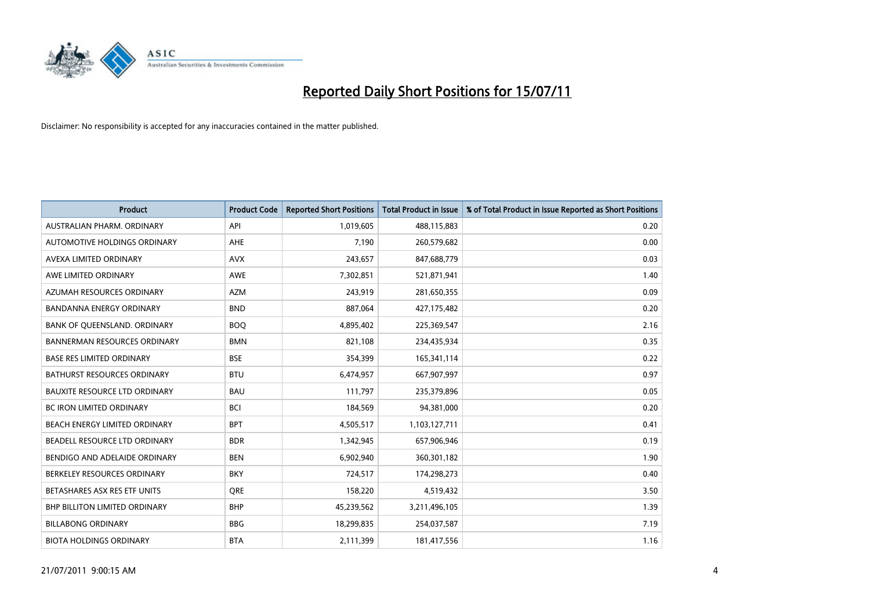

| <b>Product</b>                       | <b>Product Code</b> | <b>Reported Short Positions</b> | <b>Total Product in Issue</b> | % of Total Product in Issue Reported as Short Positions |
|--------------------------------------|---------------------|---------------------------------|-------------------------------|---------------------------------------------------------|
| AUSTRALIAN PHARM, ORDINARY           | API                 | 1,019,605                       | 488,115,883                   | 0.20                                                    |
| AUTOMOTIVE HOLDINGS ORDINARY         | <b>AHE</b>          | 7,190                           | 260,579,682                   | 0.00                                                    |
| AVEXA LIMITED ORDINARY               | <b>AVX</b>          | 243,657                         | 847,688,779                   | 0.03                                                    |
| AWE LIMITED ORDINARY                 | <b>AWE</b>          | 7,302,851                       | 521,871,941                   | 1.40                                                    |
| AZUMAH RESOURCES ORDINARY            | <b>AZM</b>          | 243,919                         | 281,650,355                   | 0.09                                                    |
| BANDANNA ENERGY ORDINARY             | <b>BND</b>          | 887,064                         | 427,175,482                   | 0.20                                                    |
| BANK OF QUEENSLAND. ORDINARY         | <b>BOO</b>          | 4,895,402                       | 225,369,547                   | 2.16                                                    |
| <b>BANNERMAN RESOURCES ORDINARY</b>  | <b>BMN</b>          | 821,108                         | 234,435,934                   | 0.35                                                    |
| <b>BASE RES LIMITED ORDINARY</b>     | <b>BSE</b>          | 354,399                         | 165,341,114                   | 0.22                                                    |
| <b>BATHURST RESOURCES ORDINARY</b>   | <b>BTU</b>          | 6,474,957                       | 667,907,997                   | 0.97                                                    |
| <b>BAUXITE RESOURCE LTD ORDINARY</b> | <b>BAU</b>          | 111,797                         | 235,379,896                   | 0.05                                                    |
| <b>BC IRON LIMITED ORDINARY</b>      | <b>BCI</b>          | 184,569                         | 94,381,000                    | 0.20                                                    |
| BEACH ENERGY LIMITED ORDINARY        | <b>BPT</b>          | 4,505,517                       | 1,103,127,711                 | 0.41                                                    |
| BEADELL RESOURCE LTD ORDINARY        | <b>BDR</b>          | 1,342,945                       | 657,906,946                   | 0.19                                                    |
| BENDIGO AND ADELAIDE ORDINARY        | <b>BEN</b>          | 6,902,940                       | 360,301,182                   | 1.90                                                    |
| BERKELEY RESOURCES ORDINARY          | <b>BKY</b>          | 724,517                         | 174,298,273                   | 0.40                                                    |
| BETASHARES ASX RES ETF UNITS         | <b>ORE</b>          | 158,220                         | 4,519,432                     | 3.50                                                    |
| <b>BHP BILLITON LIMITED ORDINARY</b> | <b>BHP</b>          | 45,239,562                      | 3,211,496,105                 | 1.39                                                    |
| <b>BILLABONG ORDINARY</b>            | <b>BBG</b>          | 18,299,835                      | 254,037,587                   | 7.19                                                    |
| <b>BIOTA HOLDINGS ORDINARY</b>       | <b>BTA</b>          | 2,111,399                       | 181,417,556                   | 1.16                                                    |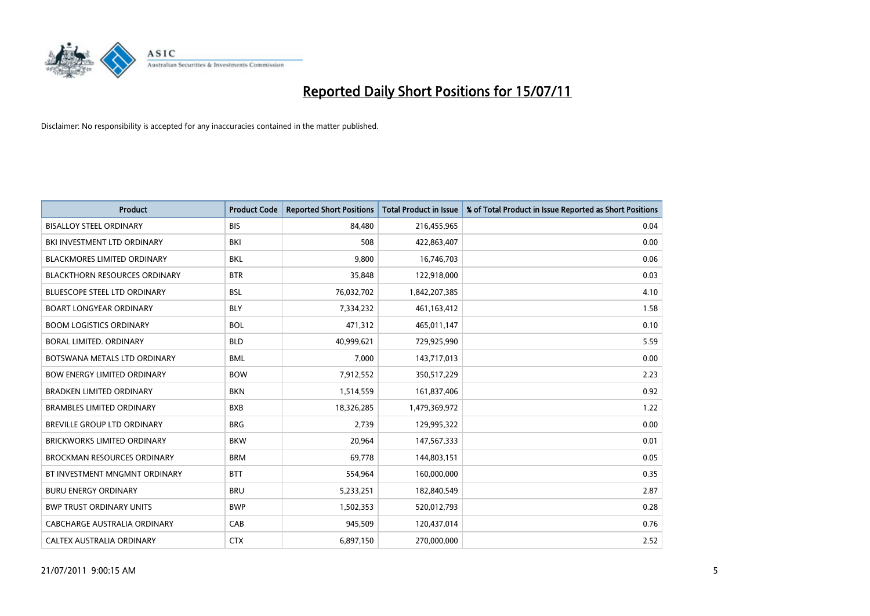

| <b>Product</b>                       | <b>Product Code</b> | <b>Reported Short Positions</b> | <b>Total Product in Issue</b> | % of Total Product in Issue Reported as Short Positions |
|--------------------------------------|---------------------|---------------------------------|-------------------------------|---------------------------------------------------------|
| <b>BISALLOY STEEL ORDINARY</b>       | <b>BIS</b>          | 84,480                          | 216,455,965                   | 0.04                                                    |
| BKI INVESTMENT LTD ORDINARY          | BKI                 | 508                             | 422,863,407                   | 0.00                                                    |
| <b>BLACKMORES LIMITED ORDINARY</b>   | <b>BKL</b>          | 9,800                           | 16,746,703                    | 0.06                                                    |
| <b>BLACKTHORN RESOURCES ORDINARY</b> | <b>BTR</b>          | 35,848                          | 122,918,000                   | 0.03                                                    |
| <b>BLUESCOPE STEEL LTD ORDINARY</b>  | <b>BSL</b>          | 76,032,702                      | 1,842,207,385                 | 4.10                                                    |
| <b>BOART LONGYEAR ORDINARY</b>       | <b>BLY</b>          | 7,334,232                       | 461,163,412                   | 1.58                                                    |
| <b>BOOM LOGISTICS ORDINARY</b>       | <b>BOL</b>          | 471.312                         | 465,011,147                   | 0.10                                                    |
| BORAL LIMITED, ORDINARY              | <b>BLD</b>          | 40,999,621                      | 729,925,990                   | 5.59                                                    |
| BOTSWANA METALS LTD ORDINARY         | <b>BML</b>          | 7,000                           | 143,717,013                   | 0.00                                                    |
| <b>BOW ENERGY LIMITED ORDINARY</b>   | <b>BOW</b>          | 7,912,552                       | 350,517,229                   | 2.23                                                    |
| <b>BRADKEN LIMITED ORDINARY</b>      | <b>BKN</b>          | 1,514,559                       | 161,837,406                   | 0.92                                                    |
| <b>BRAMBLES LIMITED ORDINARY</b>     | <b>BXB</b>          | 18,326,285                      | 1,479,369,972                 | 1.22                                                    |
| BREVILLE GROUP LTD ORDINARY          | <b>BRG</b>          | 2,739                           | 129,995,322                   | 0.00                                                    |
| <b>BRICKWORKS LIMITED ORDINARY</b>   | <b>BKW</b>          | 20,964                          | 147,567,333                   | 0.01                                                    |
| <b>BROCKMAN RESOURCES ORDINARY</b>   | <b>BRM</b>          | 69,778                          | 144,803,151                   | 0.05                                                    |
| BT INVESTMENT MNGMNT ORDINARY        | <b>BTT</b>          | 554,964                         | 160,000,000                   | 0.35                                                    |
| <b>BURU ENERGY ORDINARY</b>          | <b>BRU</b>          | 5,233,251                       | 182,840,549                   | 2.87                                                    |
| <b>BWP TRUST ORDINARY UNITS</b>      | <b>BWP</b>          | 1,502,353                       | 520,012,793                   | 0.28                                                    |
| CABCHARGE AUSTRALIA ORDINARY         | CAB                 | 945,509                         | 120,437,014                   | 0.76                                                    |
| CALTEX AUSTRALIA ORDINARY            | <b>CTX</b>          | 6,897,150                       | 270,000,000                   | 2.52                                                    |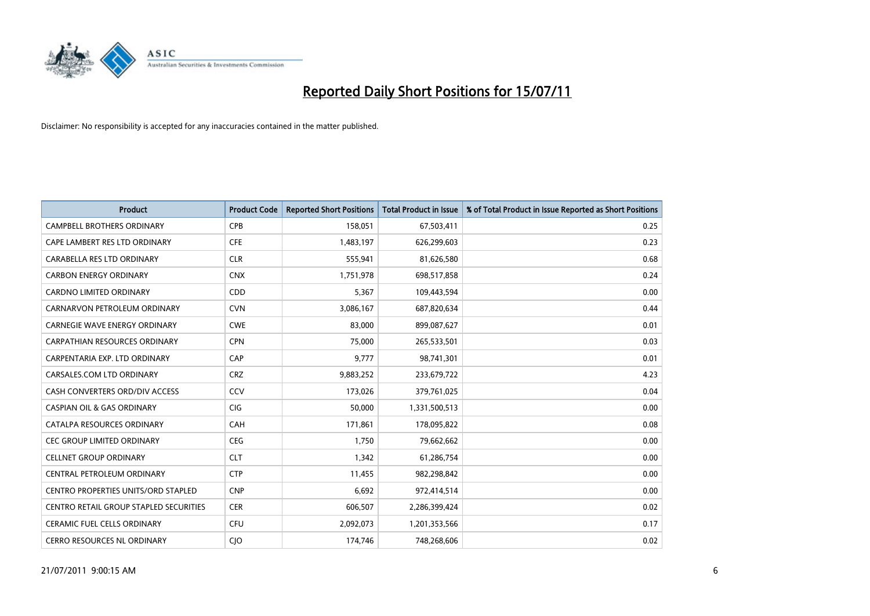

| <b>Product</b>                         | <b>Product Code</b> | <b>Reported Short Positions</b> | <b>Total Product in Issue</b> | % of Total Product in Issue Reported as Short Positions |
|----------------------------------------|---------------------|---------------------------------|-------------------------------|---------------------------------------------------------|
| <b>CAMPBELL BROTHERS ORDINARY</b>      | <b>CPB</b>          | 158,051                         | 67,503,411                    | 0.25                                                    |
| CAPE LAMBERT RES LTD ORDINARY          | <b>CFE</b>          | 1,483,197                       | 626,299,603                   | 0.23                                                    |
| CARABELLA RES LTD ORDINARY             | <b>CLR</b>          | 555,941                         | 81,626,580                    | 0.68                                                    |
| <b>CARBON ENERGY ORDINARY</b>          | <b>CNX</b>          | 1,751,978                       | 698,517,858                   | 0.24                                                    |
| <b>CARDNO LIMITED ORDINARY</b>         | CDD                 | 5,367                           | 109,443,594                   | 0.00                                                    |
| CARNARVON PETROLEUM ORDINARY           | <b>CVN</b>          | 3,086,167                       | 687,820,634                   | 0.44                                                    |
| CARNEGIE WAVE ENERGY ORDINARY          | <b>CWE</b>          | 83,000                          | 899,087,627                   | 0.01                                                    |
| CARPATHIAN RESOURCES ORDINARY          | <b>CPN</b>          | 75.000                          | 265,533,501                   | 0.03                                                    |
| CARPENTARIA EXP. LTD ORDINARY          | CAP                 | 9,777                           | 98,741,301                    | 0.01                                                    |
| CARSALES.COM LTD ORDINARY              | <b>CRZ</b>          | 9,883,252                       | 233,679,722                   | 4.23                                                    |
| CASH CONVERTERS ORD/DIV ACCESS         | CCV                 | 173,026                         | 379,761,025                   | 0.04                                                    |
| <b>CASPIAN OIL &amp; GAS ORDINARY</b>  | CIG                 | 50,000                          | 1,331,500,513                 | 0.00                                                    |
| CATALPA RESOURCES ORDINARY             | CAH                 | 171,861                         | 178,095,822                   | 0.08                                                    |
| <b>CEC GROUP LIMITED ORDINARY</b>      | <b>CEG</b>          | 1,750                           | 79,662,662                    | 0.00                                                    |
| <b>CELLNET GROUP ORDINARY</b>          | <b>CLT</b>          | 1,342                           | 61,286,754                    | 0.00                                                    |
| CENTRAL PETROLEUM ORDINARY             | <b>CTP</b>          | 11,455                          | 982,298,842                   | 0.00                                                    |
| CENTRO PROPERTIES UNITS/ORD STAPLED    | <b>CNP</b>          | 6,692                           | 972,414,514                   | 0.00                                                    |
| CENTRO RETAIL GROUP STAPLED SECURITIES | <b>CER</b>          | 606,507                         | 2,286,399,424                 | 0.02                                                    |
| <b>CERAMIC FUEL CELLS ORDINARY</b>     | CFU                 | 2,092,073                       | 1,201,353,566                 | 0.17                                                    |
| CERRO RESOURCES NL ORDINARY            | <b>CIO</b>          | 174,746                         | 748,268,606                   | 0.02                                                    |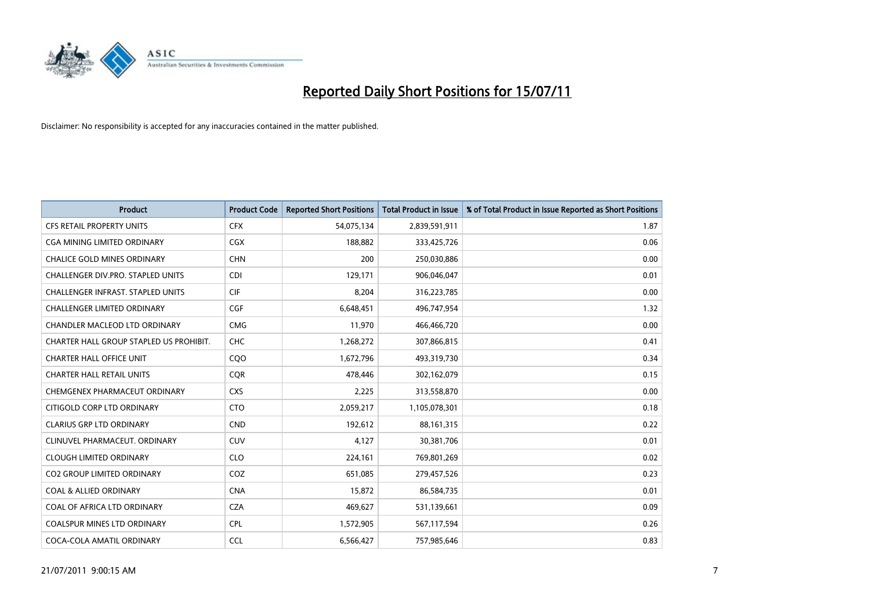

| <b>Product</b>                           | <b>Product Code</b> | <b>Reported Short Positions</b> | <b>Total Product in Issue</b> | % of Total Product in Issue Reported as Short Positions |
|------------------------------------------|---------------------|---------------------------------|-------------------------------|---------------------------------------------------------|
| <b>CFS RETAIL PROPERTY UNITS</b>         | <b>CFX</b>          | 54,075,134                      | 2,839,591,911                 | 1.87                                                    |
| CGA MINING LIMITED ORDINARY              | <b>CGX</b>          | 188,882                         | 333,425,726                   | 0.06                                                    |
| <b>CHALICE GOLD MINES ORDINARY</b>       | <b>CHN</b>          | 200                             | 250,030,886                   | 0.00                                                    |
| CHALLENGER DIV.PRO. STAPLED UNITS        | <b>CDI</b>          | 129,171                         | 906,046,047                   | 0.01                                                    |
| <b>CHALLENGER INFRAST, STAPLED UNITS</b> | <b>CIF</b>          | 8,204                           | 316,223,785                   | 0.00                                                    |
| <b>CHALLENGER LIMITED ORDINARY</b>       | CGF                 | 6,648,451                       | 496,747,954                   | 1.32                                                    |
| CHANDLER MACLEOD LTD ORDINARY            | <b>CMG</b>          | 11,970                          | 466,466,720                   | 0.00                                                    |
| CHARTER HALL GROUP STAPLED US PROHIBIT.  | <b>CHC</b>          | 1,268,272                       | 307,866,815                   | 0.41                                                    |
| <b>CHARTER HALL OFFICE UNIT</b>          | COO                 | 1,672,796                       | 493,319,730                   | 0.34                                                    |
| <b>CHARTER HALL RETAIL UNITS</b>         | <b>COR</b>          | 478,446                         | 302,162,079                   | 0.15                                                    |
| CHEMGENEX PHARMACEUT ORDINARY            | <b>CXS</b>          | 2,225                           | 313,558,870                   | 0.00                                                    |
| CITIGOLD CORP LTD ORDINARY               | <b>CTO</b>          | 2,059,217                       | 1,105,078,301                 | 0.18                                                    |
| <b>CLARIUS GRP LTD ORDINARY</b>          | <b>CND</b>          | 192,612                         | 88,161,315                    | 0.22                                                    |
| CLINUVEL PHARMACEUT, ORDINARY            | <b>CUV</b>          | 4,127                           | 30,381,706                    | 0.01                                                    |
| <b>CLOUGH LIMITED ORDINARY</b>           | <b>CLO</b>          | 224,161                         | 769,801,269                   | 0.02                                                    |
| <b>CO2 GROUP LIMITED ORDINARY</b>        | COZ                 | 651,085                         | 279,457,526                   | 0.23                                                    |
| <b>COAL &amp; ALLIED ORDINARY</b>        | <b>CNA</b>          | 15,872                          | 86,584,735                    | 0.01                                                    |
| COAL OF AFRICA LTD ORDINARY              | <b>CZA</b>          | 469,627                         | 531,139,661                   | 0.09                                                    |
| <b>COALSPUR MINES LTD ORDINARY</b>       | <b>CPL</b>          | 1,572,905                       | 567,117,594                   | 0.26                                                    |
| COCA-COLA AMATIL ORDINARY                | <b>CCL</b>          | 6,566,427                       | 757,985,646                   | 0.83                                                    |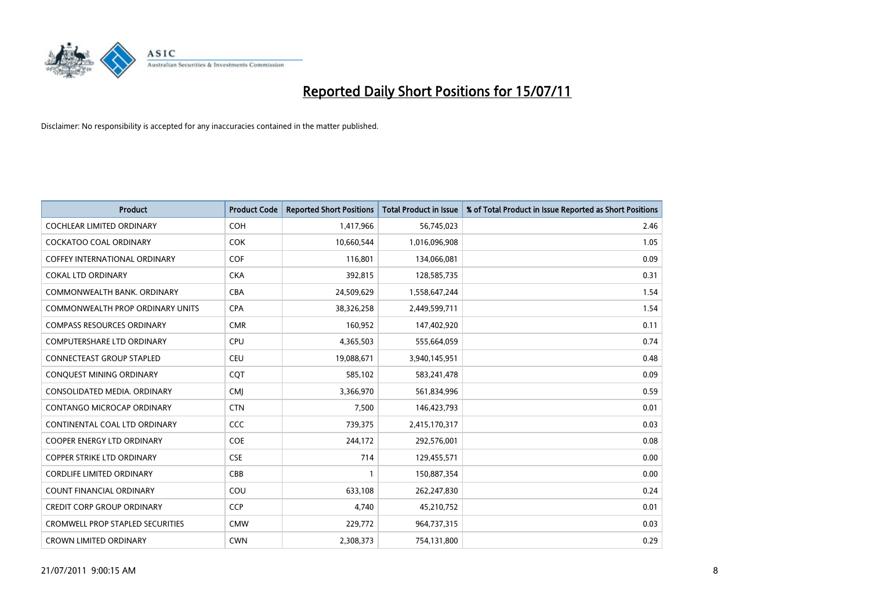

| <b>Product</b>                          | <b>Product Code</b> | <b>Reported Short Positions</b> | Total Product in Issue | % of Total Product in Issue Reported as Short Positions |
|-----------------------------------------|---------------------|---------------------------------|------------------------|---------------------------------------------------------|
| <b>COCHLEAR LIMITED ORDINARY</b>        | COH                 | 1,417,966                       | 56,745,023             | 2.46                                                    |
| <b>COCKATOO COAL ORDINARY</b>           | <b>COK</b>          | 10,660,544                      | 1,016,096,908          | 1.05                                                    |
| <b>COFFEY INTERNATIONAL ORDINARY</b>    | <b>COF</b>          | 116,801                         | 134,066,081            | 0.09                                                    |
| <b>COKAL LTD ORDINARY</b>               | <b>CKA</b>          | 392,815                         | 128,585,735            | 0.31                                                    |
| COMMONWEALTH BANK, ORDINARY             | <b>CBA</b>          | 24,509,629                      | 1,558,647,244          | 1.54                                                    |
| COMMONWEALTH PROP ORDINARY UNITS        | <b>CPA</b>          | 38,326,258                      | 2,449,599,711          | 1.54                                                    |
| <b>COMPASS RESOURCES ORDINARY</b>       | <b>CMR</b>          | 160,952                         | 147,402,920            | 0.11                                                    |
| <b>COMPUTERSHARE LTD ORDINARY</b>       | <b>CPU</b>          | 4,365,503                       | 555,664,059            | 0.74                                                    |
| CONNECTEAST GROUP STAPLED               | CEU                 | 19,088,671                      | 3,940,145,951          | 0.48                                                    |
| <b>CONOUEST MINING ORDINARY</b>         | COT                 | 585,102                         | 583,241,478            | 0.09                                                    |
| CONSOLIDATED MEDIA, ORDINARY            | <b>CMJ</b>          | 3,366,970                       | 561,834,996            | 0.59                                                    |
| CONTANGO MICROCAP ORDINARY              | <b>CTN</b>          | 7,500                           | 146,423,793            | 0.01                                                    |
| CONTINENTAL COAL LTD ORDINARY           | CCC                 | 739,375                         | 2,415,170,317          | 0.03                                                    |
| <b>COOPER ENERGY LTD ORDINARY</b>       | <b>COE</b>          | 244,172                         | 292,576,001            | 0.08                                                    |
| <b>COPPER STRIKE LTD ORDINARY</b>       | <b>CSE</b>          | 714                             | 129,455,571            | 0.00                                                    |
| <b>CORDLIFE LIMITED ORDINARY</b>        | CBB                 |                                 | 150,887,354            | 0.00                                                    |
| <b>COUNT FINANCIAL ORDINARY</b>         | COU                 | 633,108                         | 262,247,830            | 0.24                                                    |
| <b>CREDIT CORP GROUP ORDINARY</b>       | <b>CCP</b>          | 4,740                           | 45,210,752             | 0.01                                                    |
| <b>CROMWELL PROP STAPLED SECURITIES</b> | <b>CMW</b>          | 229,772                         | 964,737,315            | 0.03                                                    |
| <b>CROWN LIMITED ORDINARY</b>           | <b>CWN</b>          | 2,308,373                       | 754,131,800            | 0.29                                                    |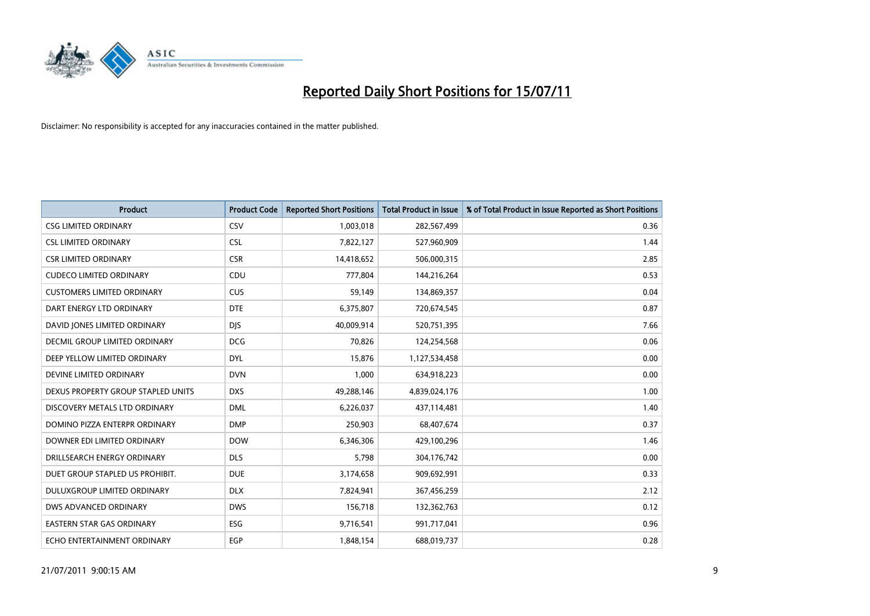

| <b>Product</b>                       | <b>Product Code</b> | <b>Reported Short Positions</b> | <b>Total Product in Issue</b> | % of Total Product in Issue Reported as Short Positions |
|--------------------------------------|---------------------|---------------------------------|-------------------------------|---------------------------------------------------------|
| <b>CSG LIMITED ORDINARY</b>          | CSV                 | 1,003,018                       | 282,567,499                   | 0.36                                                    |
| <b>CSL LIMITED ORDINARY</b>          | <b>CSL</b>          | 7,822,127                       | 527,960,909                   | 1.44                                                    |
| <b>CSR LIMITED ORDINARY</b>          | <b>CSR</b>          | 14,418,652                      | 506,000,315                   | 2.85                                                    |
| <b>CUDECO LIMITED ORDINARY</b>       | CDU                 | 777,804                         | 144,216,264                   | 0.53                                                    |
| <b>CUSTOMERS LIMITED ORDINARY</b>    | <b>CUS</b>          | 59,149                          | 134,869,357                   | 0.04                                                    |
| DART ENERGY LTD ORDINARY             | <b>DTE</b>          | 6,375,807                       | 720,674,545                   | 0.87                                                    |
| DAVID JONES LIMITED ORDINARY         | <b>DIS</b>          | 40,009,914                      | 520,751,395                   | 7.66                                                    |
| <b>DECMIL GROUP LIMITED ORDINARY</b> | <b>DCG</b>          | 70,826                          | 124,254,568                   | 0.06                                                    |
| DEEP YELLOW LIMITED ORDINARY         | <b>DYL</b>          | 15,876                          | 1,127,534,458                 | 0.00                                                    |
| DEVINE LIMITED ORDINARY              | <b>DVN</b>          | 1,000                           | 634,918,223                   | 0.00                                                    |
| DEXUS PROPERTY GROUP STAPLED UNITS   | <b>DXS</b>          | 49,288,146                      | 4,839,024,176                 | 1.00                                                    |
| DISCOVERY METALS LTD ORDINARY        | <b>DML</b>          | 6,226,037                       | 437,114,481                   | 1.40                                                    |
| DOMINO PIZZA ENTERPR ORDINARY        | <b>DMP</b>          | 250,903                         | 68,407,674                    | 0.37                                                    |
| DOWNER EDI LIMITED ORDINARY          | <b>DOW</b>          | 6,346,306                       | 429,100,296                   | 1.46                                                    |
| DRILLSEARCH ENERGY ORDINARY          | <b>DLS</b>          | 5,798                           | 304,176,742                   | 0.00                                                    |
| DUET GROUP STAPLED US PROHIBIT.      | <b>DUE</b>          | 3,174,658                       | 909,692,991                   | 0.33                                                    |
| DULUXGROUP LIMITED ORDINARY          | <b>DLX</b>          | 7,824,941                       | 367,456,259                   | 2.12                                                    |
| DWS ADVANCED ORDINARY                | <b>DWS</b>          | 156,718                         | 132,362,763                   | 0.12                                                    |
| <b>EASTERN STAR GAS ORDINARY</b>     | <b>ESG</b>          | 9,716,541                       | 991,717,041                   | 0.96                                                    |
| ECHO ENTERTAINMENT ORDINARY          | EGP                 | 1,848,154                       | 688,019,737                   | 0.28                                                    |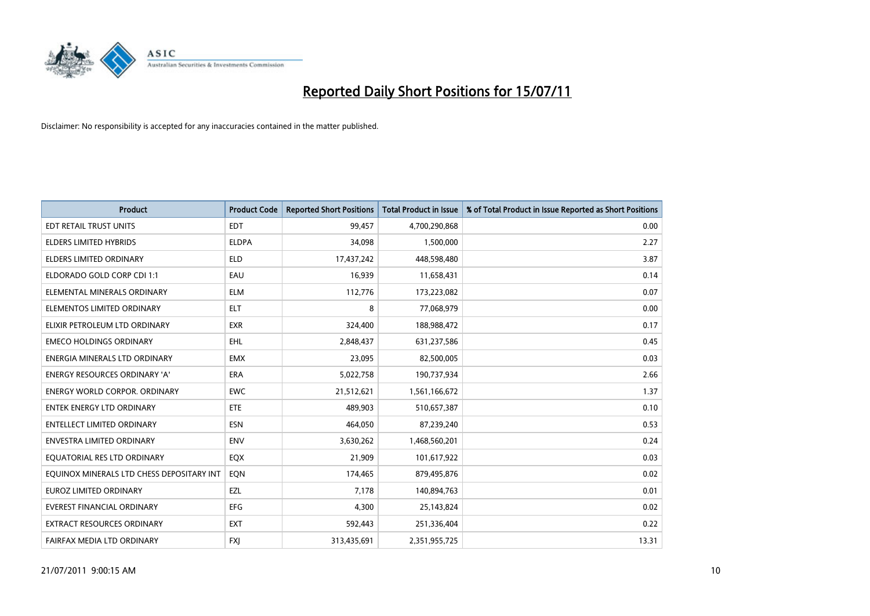

| <b>Product</b>                            | <b>Product Code</b> | <b>Reported Short Positions</b> | Total Product in Issue | % of Total Product in Issue Reported as Short Positions |
|-------------------------------------------|---------------------|---------------------------------|------------------------|---------------------------------------------------------|
| <b>EDT RETAIL TRUST UNITS</b>             | <b>EDT</b>          | 99,457                          | 4,700,290,868          | 0.00                                                    |
| ELDERS LIMITED HYBRIDS                    | <b>ELDPA</b>        | 34,098                          | 1,500,000              | 2.27                                                    |
| <b>ELDERS LIMITED ORDINARY</b>            | <b>ELD</b>          | 17,437,242                      | 448,598,480            | 3.87                                                    |
| ELDORADO GOLD CORP CDI 1:1                | EAU                 | 16,939                          | 11,658,431             | 0.14                                                    |
| ELEMENTAL MINERALS ORDINARY               | <b>ELM</b>          | 112,776                         | 173,223,082            | 0.07                                                    |
| ELEMENTOS LIMITED ORDINARY                | <b>ELT</b>          | 8                               | 77,068,979             | 0.00                                                    |
| ELIXIR PETROLEUM LTD ORDINARY             | <b>EXR</b>          | 324,400                         | 188,988,472            | 0.17                                                    |
| <b>EMECO HOLDINGS ORDINARY</b>            | <b>EHL</b>          | 2,848,437                       | 631,237,586            | 0.45                                                    |
| ENERGIA MINERALS LTD ORDINARY             | <b>EMX</b>          | 23,095                          | 82,500,005             | 0.03                                                    |
| <b>ENERGY RESOURCES ORDINARY 'A'</b>      | <b>ERA</b>          | 5,022,758                       | 190,737,934            | 2.66                                                    |
| ENERGY WORLD CORPOR. ORDINARY             | <b>EWC</b>          | 21,512,621                      | 1,561,166,672          | 1.37                                                    |
| <b>ENTEK ENERGY LTD ORDINARY</b>          | <b>ETE</b>          | 489,903                         | 510,657,387            | 0.10                                                    |
| <b>ENTELLECT LIMITED ORDINARY</b>         | <b>ESN</b>          | 464,050                         | 87,239,240             | 0.53                                                    |
| <b>ENVESTRA LIMITED ORDINARY</b>          | <b>ENV</b>          | 3,630,262                       | 1,468,560,201          | 0.24                                                    |
| EQUATORIAL RES LTD ORDINARY               | EQX                 | 21,909                          | 101,617,922            | 0.03                                                    |
| EQUINOX MINERALS LTD CHESS DEPOSITARY INT | EON                 | 174,465                         | 879,495,876            | 0.02                                                    |
| EUROZ LIMITED ORDINARY                    | EZL                 | 7,178                           | 140,894,763            | 0.01                                                    |
| <b>EVEREST FINANCIAL ORDINARY</b>         | <b>EFG</b>          | 4,300                           | 25,143,824             | 0.02                                                    |
| EXTRACT RESOURCES ORDINARY                | <b>EXT</b>          | 592,443                         | 251,336,404            | 0.22                                                    |
| FAIRFAX MEDIA LTD ORDINARY                | <b>FXJ</b>          | 313,435,691                     | 2,351,955,725          | 13.31                                                   |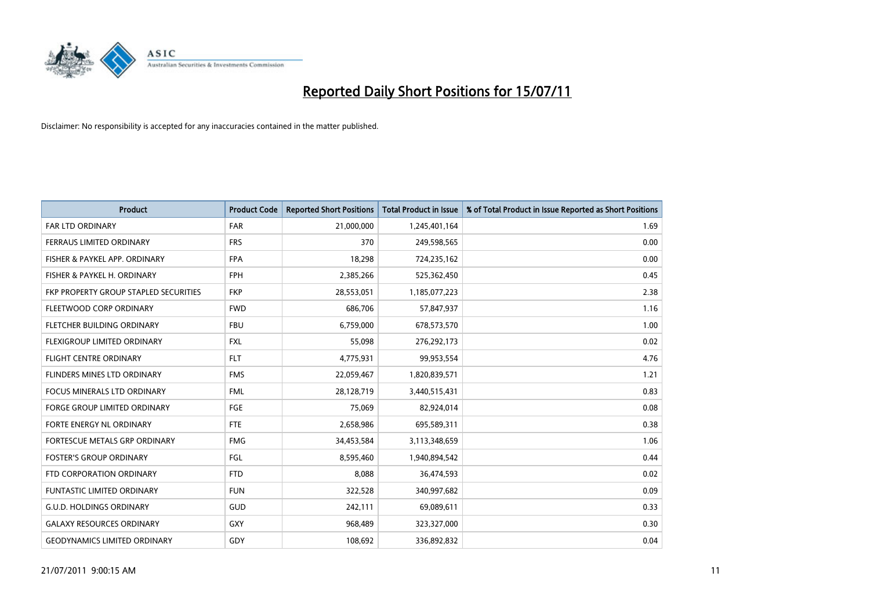

| <b>Product</b>                        | <b>Product Code</b> | <b>Reported Short Positions</b> | <b>Total Product in Issue</b> | % of Total Product in Issue Reported as Short Positions |
|---------------------------------------|---------------------|---------------------------------|-------------------------------|---------------------------------------------------------|
| <b>FAR LTD ORDINARY</b>               | <b>FAR</b>          | 21,000,000                      | 1,245,401,164                 | 1.69                                                    |
| FERRAUS LIMITED ORDINARY              | <b>FRS</b>          | 370                             | 249,598,565                   | 0.00                                                    |
| FISHER & PAYKEL APP. ORDINARY         | <b>FPA</b>          | 18,298                          | 724,235,162                   | 0.00                                                    |
| FISHER & PAYKEL H. ORDINARY           | <b>FPH</b>          | 2,385,266                       | 525,362,450                   | 0.45                                                    |
| FKP PROPERTY GROUP STAPLED SECURITIES | <b>FKP</b>          | 28,553,051                      | 1,185,077,223                 | 2.38                                                    |
| FLEETWOOD CORP ORDINARY               | <b>FWD</b>          | 686,706                         | 57,847,937                    | 1.16                                                    |
| FLETCHER BUILDING ORDINARY            | <b>FBU</b>          | 6,759,000                       | 678,573,570                   | 1.00                                                    |
| FLEXIGROUP LIMITED ORDINARY           | <b>FXL</b>          | 55,098                          | 276,292,173                   | 0.02                                                    |
| FLIGHT CENTRE ORDINARY                | <b>FLT</b>          | 4,775,931                       | 99,953,554                    | 4.76                                                    |
| FLINDERS MINES LTD ORDINARY           | <b>FMS</b>          | 22,059,467                      | 1,820,839,571                 | 1.21                                                    |
| FOCUS MINERALS LTD ORDINARY           | <b>FML</b>          | 28,128,719                      | 3,440,515,431                 | 0.83                                                    |
| <b>FORGE GROUP LIMITED ORDINARY</b>   | <b>FGE</b>          | 75,069                          | 82,924,014                    | 0.08                                                    |
| FORTE ENERGY NL ORDINARY              | <b>FTE</b>          | 2,658,986                       | 695,589,311                   | 0.38                                                    |
| FORTESCUE METALS GRP ORDINARY         | <b>FMG</b>          | 34,453,584                      | 3,113,348,659                 | 1.06                                                    |
| <b>FOSTER'S GROUP ORDINARY</b>        | FGL                 | 8,595,460                       | 1,940,894,542                 | 0.44                                                    |
| FTD CORPORATION ORDINARY              | <b>FTD</b>          | 8,088                           | 36,474,593                    | 0.02                                                    |
| <b>FUNTASTIC LIMITED ORDINARY</b>     | <b>FUN</b>          | 322,528                         | 340,997,682                   | 0.09                                                    |
| <b>G.U.D. HOLDINGS ORDINARY</b>       | <b>GUD</b>          | 242,111                         | 69,089,611                    | 0.33                                                    |
| <b>GALAXY RESOURCES ORDINARY</b>      | <b>GXY</b>          | 968,489                         | 323,327,000                   | 0.30                                                    |
| <b>GEODYNAMICS LIMITED ORDINARY</b>   | GDY                 | 108,692                         | 336,892,832                   | 0.04                                                    |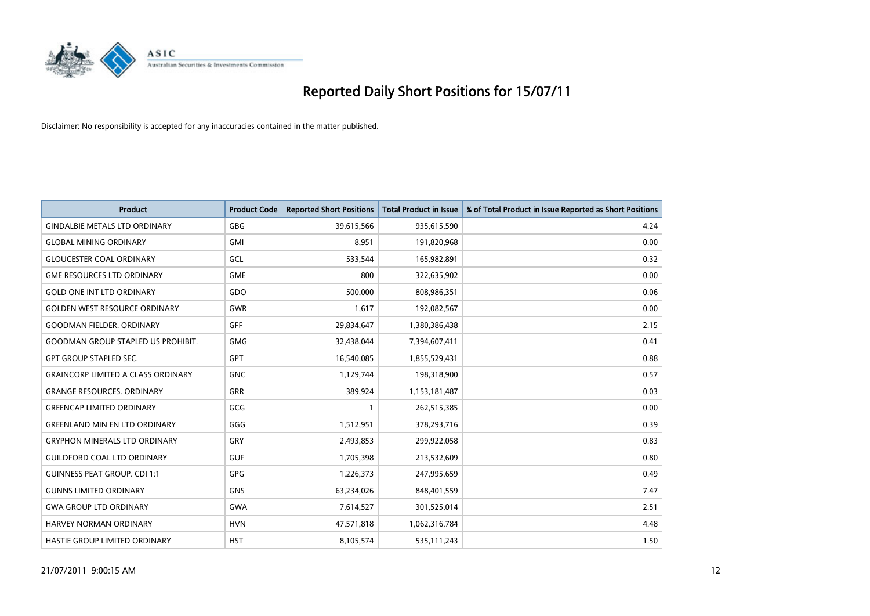

| <b>Product</b>                            | <b>Product Code</b> | <b>Reported Short Positions</b> | Total Product in Issue | % of Total Product in Issue Reported as Short Positions |
|-------------------------------------------|---------------------|---------------------------------|------------------------|---------------------------------------------------------|
| <b>GINDALBIE METALS LTD ORDINARY</b>      | <b>GBG</b>          | 39,615,566                      | 935,615,590            | 4.24                                                    |
| <b>GLOBAL MINING ORDINARY</b>             | <b>GMI</b>          | 8,951                           | 191,820,968            | 0.00                                                    |
| <b>GLOUCESTER COAL ORDINARY</b>           | <b>GCL</b>          | 533,544                         | 165,982,891            | 0.32                                                    |
| <b>GME RESOURCES LTD ORDINARY</b>         | <b>GME</b>          | 800                             | 322,635,902            | 0.00                                                    |
| <b>GOLD ONE INT LTD ORDINARY</b>          | GDO                 | 500,000                         | 808,986,351            | 0.06                                                    |
| <b>GOLDEN WEST RESOURCE ORDINARY</b>      | <b>GWR</b>          | 1,617                           | 192,082,567            | 0.00                                                    |
| <b>GOODMAN FIELDER, ORDINARY</b>          | GFF                 | 29,834,647                      | 1,380,386,438          | 2.15                                                    |
| <b>GOODMAN GROUP STAPLED US PROHIBIT.</b> | <b>GMG</b>          | 32,438,044                      | 7,394,607,411          | 0.41                                                    |
| <b>GPT GROUP STAPLED SEC.</b>             | <b>GPT</b>          | 16,540,085                      | 1,855,529,431          | 0.88                                                    |
| <b>GRAINCORP LIMITED A CLASS ORDINARY</b> | <b>GNC</b>          | 1,129,744                       | 198,318,900            | 0.57                                                    |
| <b>GRANGE RESOURCES. ORDINARY</b>         | <b>GRR</b>          | 389,924                         | 1,153,181,487          | 0.03                                                    |
| <b>GREENCAP LIMITED ORDINARY</b>          | GCG                 |                                 | 262,515,385            | 0.00                                                    |
| <b>GREENLAND MIN EN LTD ORDINARY</b>      | GGG                 | 1,512,951                       | 378,293,716            | 0.39                                                    |
| <b>GRYPHON MINERALS LTD ORDINARY</b>      | GRY                 | 2,493,853                       | 299,922,058            | 0.83                                                    |
| <b>GUILDFORD COAL LTD ORDINARY</b>        | <b>GUF</b>          | 1,705,398                       | 213,532,609            | 0.80                                                    |
| <b>GUINNESS PEAT GROUP. CDI 1:1</b>       | GPG                 | 1,226,373                       | 247,995,659            | 0.49                                                    |
| <b>GUNNS LIMITED ORDINARY</b>             | <b>GNS</b>          | 63,234,026                      | 848,401,559            | 7.47                                                    |
| <b>GWA GROUP LTD ORDINARY</b>             | <b>GWA</b>          | 7,614,527                       | 301,525,014            | 2.51                                                    |
| HARVEY NORMAN ORDINARY                    | <b>HVN</b>          | 47,571,818                      | 1,062,316,784          | 4.48                                                    |
| <b>HASTIE GROUP LIMITED ORDINARY</b>      | <b>HST</b>          | 8,105,574                       | 535,111,243            | 1.50                                                    |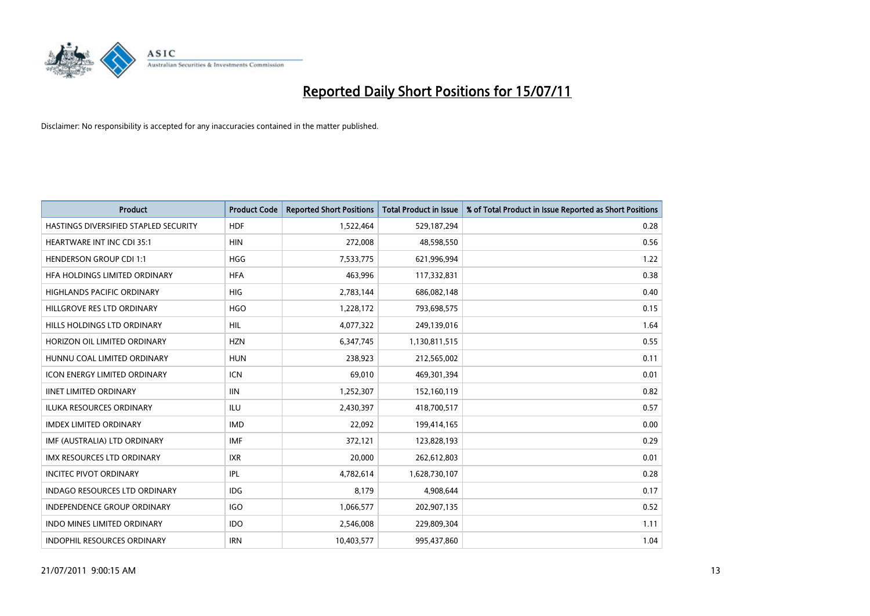

| <b>Product</b>                        | <b>Product Code</b> | <b>Reported Short Positions</b> | <b>Total Product in Issue</b> | % of Total Product in Issue Reported as Short Positions |
|---------------------------------------|---------------------|---------------------------------|-------------------------------|---------------------------------------------------------|
| HASTINGS DIVERSIFIED STAPLED SECURITY | <b>HDF</b>          | 1,522,464                       | 529,187,294                   | 0.28                                                    |
| <b>HEARTWARE INT INC CDI 35:1</b>     | <b>HIN</b>          | 272,008                         | 48,598,550                    | 0.56                                                    |
| <b>HENDERSON GROUP CDI 1:1</b>        | <b>HGG</b>          | 7,533,775                       | 621,996,994                   | 1.22                                                    |
| HFA HOLDINGS LIMITED ORDINARY         | <b>HFA</b>          | 463,996                         | 117,332,831                   | 0.38                                                    |
| <b>HIGHLANDS PACIFIC ORDINARY</b>     | <b>HIG</b>          | 2,783,144                       | 686,082,148                   | 0.40                                                    |
| HILLGROVE RES LTD ORDINARY            | <b>HGO</b>          | 1,228,172                       | 793,698,575                   | 0.15                                                    |
| HILLS HOLDINGS LTD ORDINARY           | <b>HIL</b>          | 4,077,322                       | 249,139,016                   | 1.64                                                    |
| HORIZON OIL LIMITED ORDINARY          | <b>HZN</b>          | 6,347,745                       | 1,130,811,515                 | 0.55                                                    |
| HUNNU COAL LIMITED ORDINARY           | <b>HUN</b>          | 238,923                         | 212,565,002                   | 0.11                                                    |
| <b>ICON ENERGY LIMITED ORDINARY</b>   | <b>ICN</b>          | 69,010                          | 469,301,394                   | 0.01                                                    |
| <b>IINET LIMITED ORDINARY</b>         | <b>IIN</b>          | 1,252,307                       | 152,160,119                   | 0.82                                                    |
| <b>ILUKA RESOURCES ORDINARY</b>       | ILU                 | 2,430,397                       | 418,700,517                   | 0.57                                                    |
| <b>IMDEX LIMITED ORDINARY</b>         | <b>IMD</b>          | 22,092                          | 199,414,165                   | 0.00                                                    |
| IMF (AUSTRALIA) LTD ORDINARY          | <b>IMF</b>          | 372,121                         | 123,828,193                   | 0.29                                                    |
| <b>IMX RESOURCES LTD ORDINARY</b>     | <b>IXR</b>          | 20.000                          | 262,612,803                   | 0.01                                                    |
| <b>INCITEC PIVOT ORDINARY</b>         | <b>IPL</b>          | 4,782,614                       | 1,628,730,107                 | 0.28                                                    |
| INDAGO RESOURCES LTD ORDINARY         | IDG                 | 8,179                           | 4,908,644                     | 0.17                                                    |
| INDEPENDENCE GROUP ORDINARY           | <b>IGO</b>          | 1,066,577                       | 202,907,135                   | 0.52                                                    |
| <b>INDO MINES LIMITED ORDINARY</b>    | <b>IDO</b>          | 2,546,008                       | 229,809,304                   | 1.11                                                    |
| INDOPHIL RESOURCES ORDINARY           | <b>IRN</b>          | 10,403,577                      | 995,437,860                   | 1.04                                                    |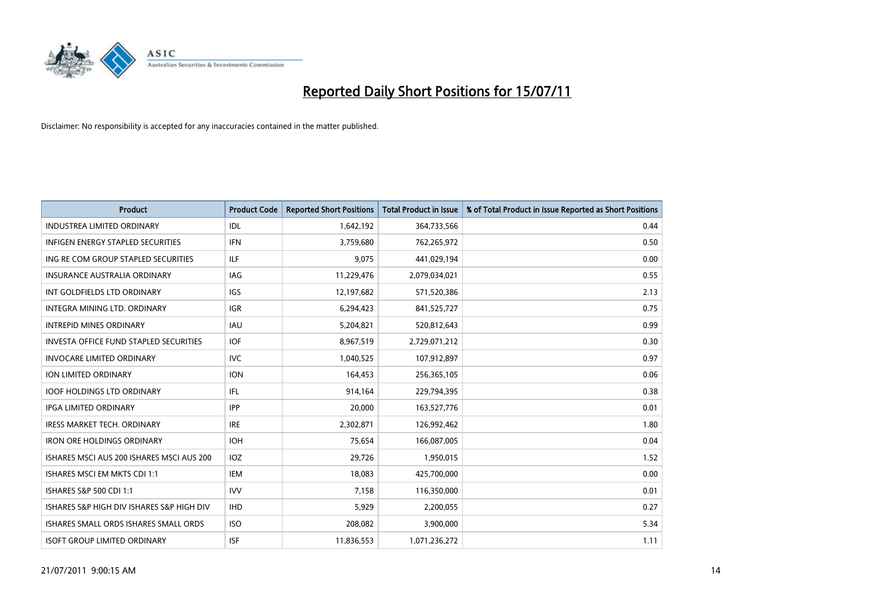

| <b>Product</b>                                | <b>Product Code</b> | <b>Reported Short Positions</b> | <b>Total Product in Issue</b> | % of Total Product in Issue Reported as Short Positions |
|-----------------------------------------------|---------------------|---------------------------------|-------------------------------|---------------------------------------------------------|
| <b>INDUSTREA LIMITED ORDINARY</b>             | IDL                 | 1,642,192                       | 364,733,566                   | 0.44                                                    |
| INFIGEN ENERGY STAPLED SECURITIES             | <b>IFN</b>          | 3,759,680                       | 762,265,972                   | 0.50                                                    |
| ING RE COM GROUP STAPLED SECURITIES           | ILF.                | 9.075                           | 441,029,194                   | 0.00                                                    |
| INSURANCE AUSTRALIA ORDINARY                  | IAG                 | 11,229,476                      | 2,079,034,021                 | 0.55                                                    |
| INT GOLDFIELDS LTD ORDINARY                   | <b>IGS</b>          | 12,197,682                      | 571,520,386                   | 2.13                                                    |
| INTEGRA MINING LTD. ORDINARY                  | <b>IGR</b>          | 6,294,423                       | 841,525,727                   | 0.75                                                    |
| <b>INTREPID MINES ORDINARY</b>                | <b>IAU</b>          | 5,204,821                       | 520,812,643                   | 0.99                                                    |
| <b>INVESTA OFFICE FUND STAPLED SECURITIES</b> | <b>IOF</b>          | 8,967,519                       | 2,729,071,212                 | 0.30                                                    |
| <b>INVOCARE LIMITED ORDINARY</b>              | <b>IVC</b>          | 1,040,525                       | 107,912,897                   | 0.97                                                    |
| <b>ION LIMITED ORDINARY</b>                   | <b>ION</b>          | 164,453                         | 256,365,105                   | 0.06                                                    |
| <b>IOOF HOLDINGS LTD ORDINARY</b>             | IFL                 | 914,164                         | 229,794,395                   | 0.38                                                    |
| <b>IPGA LIMITED ORDINARY</b>                  | <b>IPP</b>          | 20,000                          | 163,527,776                   | 0.01                                                    |
| <b>IRESS MARKET TECH. ORDINARY</b>            | <b>IRE</b>          | 2,302,871                       | 126,992,462                   | 1.80                                                    |
| <b>IRON ORE HOLDINGS ORDINARY</b>             | <b>IOH</b>          | 75,654                          | 166,087,005                   | 0.04                                                    |
| ISHARES MSCLAUS 200 ISHARES MSCLAUS 200       | <b>IOZ</b>          | 29,726                          | 1,950,015                     | 1.52                                                    |
| ISHARES MSCI EM MKTS CDI 1:1                  | IEM                 | 18,083                          | 425,700,000                   | 0.00                                                    |
| ISHARES S&P 500 CDI 1:1                       | <b>IVV</b>          | 7,158                           | 116,350,000                   | 0.01                                                    |
| ISHARES S&P HIGH DIV ISHARES S&P HIGH DIV     | <b>IHD</b>          | 5,929                           | 2,200,055                     | 0.27                                                    |
| ISHARES SMALL ORDS ISHARES SMALL ORDS         | <b>ISO</b>          | 208,082                         | 3,900,000                     | 5.34                                                    |
| <b>ISOFT GROUP LIMITED ORDINARY</b>           | <b>ISF</b>          | 11,836,553                      | 1,071,236,272                 | 1.11                                                    |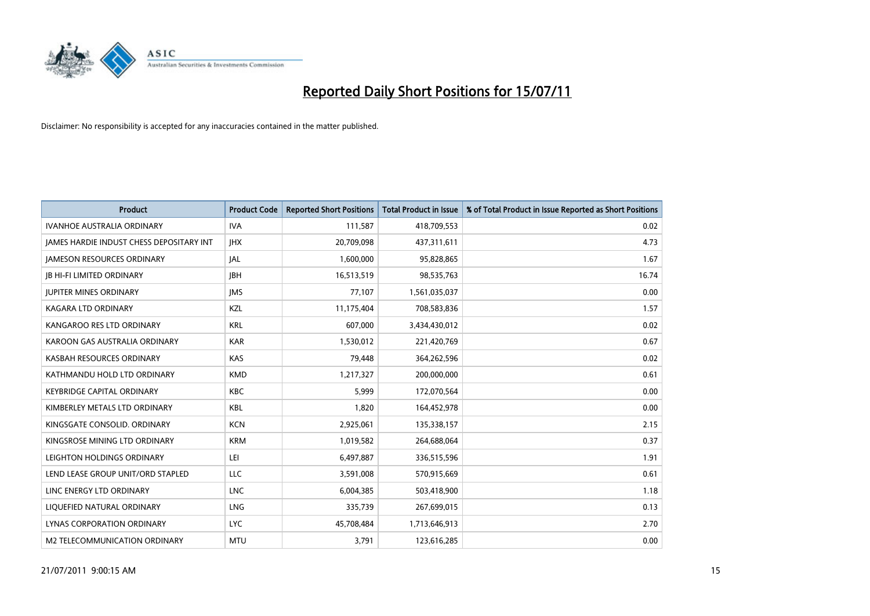

| <b>Product</b>                           | <b>Product Code</b> | <b>Reported Short Positions</b> | <b>Total Product in Issue</b> | % of Total Product in Issue Reported as Short Positions |
|------------------------------------------|---------------------|---------------------------------|-------------------------------|---------------------------------------------------------|
| <b>IVANHOE AUSTRALIA ORDINARY</b>        | <b>IVA</b>          | 111,587                         | 418,709,553                   | 0.02                                                    |
| JAMES HARDIE INDUST CHESS DEPOSITARY INT | <b>IHX</b>          | 20,709,098                      | 437,311,611                   | 4.73                                                    |
| <b>JAMESON RESOURCES ORDINARY</b>        | <b>JAL</b>          | 1,600,000                       | 95,828,865                    | 1.67                                                    |
| <b>JB HI-FI LIMITED ORDINARY</b>         | <b>IBH</b>          | 16,513,519                      | 98,535,763                    | 16.74                                                   |
| <b>JUPITER MINES ORDINARY</b>            | <b>IMS</b>          | 77,107                          | 1,561,035,037                 | 0.00                                                    |
| KAGARA LTD ORDINARY                      | KZL                 | 11,175,404                      | 708,583,836                   | 1.57                                                    |
| KANGAROO RES LTD ORDINARY                | <b>KRL</b>          | 607,000                         | 3,434,430,012                 | 0.02                                                    |
| KAROON GAS AUSTRALIA ORDINARY            | <b>KAR</b>          | 1,530,012                       | 221,420,769                   | 0.67                                                    |
| KASBAH RESOURCES ORDINARY                | <b>KAS</b>          | 79,448                          | 364,262,596                   | 0.02                                                    |
| KATHMANDU HOLD LTD ORDINARY              | <b>KMD</b>          | 1,217,327                       | 200,000,000                   | 0.61                                                    |
| <b>KEYBRIDGE CAPITAL ORDINARY</b>        | <b>KBC</b>          | 5,999                           | 172,070,564                   | 0.00                                                    |
| KIMBERLEY METALS LTD ORDINARY            | <b>KBL</b>          | 1,820                           | 164,452,978                   | 0.00                                                    |
| KINGSGATE CONSOLID. ORDINARY             | <b>KCN</b>          | 2,925,061                       | 135,338,157                   | 2.15                                                    |
| KINGSROSE MINING LTD ORDINARY            | <b>KRM</b>          | 1,019,582                       | 264,688,064                   | 0.37                                                    |
| LEIGHTON HOLDINGS ORDINARY               | LEI                 | 6,497,887                       | 336,515,596                   | 1.91                                                    |
| LEND LEASE GROUP UNIT/ORD STAPLED        | LLC                 | 3,591,008                       | 570,915,669                   | 0.61                                                    |
| LINC ENERGY LTD ORDINARY                 | <b>LNC</b>          | 6,004,385                       | 503,418,900                   | 1.18                                                    |
| LIQUEFIED NATURAL ORDINARY               | LNG                 | 335,739                         | 267,699,015                   | 0.13                                                    |
| LYNAS CORPORATION ORDINARY               | <b>LYC</b>          | 45,708,484                      | 1,713,646,913                 | 2.70                                                    |
| M2 TELECOMMUNICATION ORDINARY            | <b>MTU</b>          | 3,791                           | 123,616,285                   | 0.00                                                    |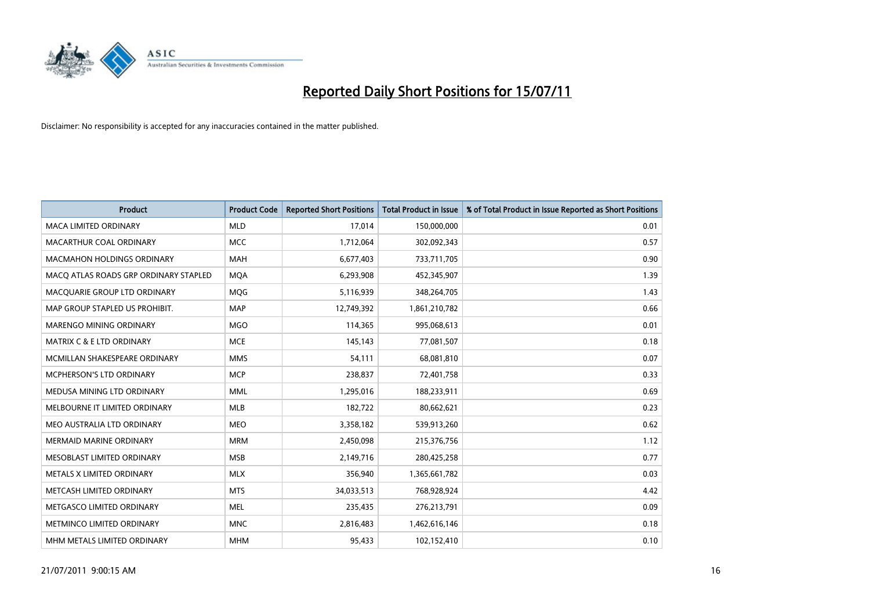

| <b>Product</b>                        | <b>Product Code</b> | <b>Reported Short Positions</b> | Total Product in Issue | % of Total Product in Issue Reported as Short Positions |
|---------------------------------------|---------------------|---------------------------------|------------------------|---------------------------------------------------------|
| <b>MACA LIMITED ORDINARY</b>          | <b>MLD</b>          | 17,014                          | 150,000,000            | 0.01                                                    |
| MACARTHUR COAL ORDINARY               | <b>MCC</b>          | 1,712,064                       | 302,092,343            | 0.57                                                    |
| <b>MACMAHON HOLDINGS ORDINARY</b>     | <b>MAH</b>          | 6,677,403                       | 733,711,705            | 0.90                                                    |
| MACO ATLAS ROADS GRP ORDINARY STAPLED | <b>MOA</b>          | 6,293,908                       | 452,345,907            | 1.39                                                    |
| MACQUARIE GROUP LTD ORDINARY          | MQG                 | 5,116,939                       | 348,264,705            | 1.43                                                    |
| MAP GROUP STAPLED US PROHIBIT.        | <b>MAP</b>          | 12,749,392                      | 1,861,210,782          | 0.66                                                    |
| <b>MARENGO MINING ORDINARY</b>        | <b>MGO</b>          | 114,365                         | 995,068,613            | 0.01                                                    |
| MATRIX C & E LTD ORDINARY             | <b>MCE</b>          | 145,143                         | 77,081,507             | 0.18                                                    |
| MCMILLAN SHAKESPEARE ORDINARY         | <b>MMS</b>          | 54,111                          | 68,081,810             | 0.07                                                    |
| <b>MCPHERSON'S LTD ORDINARY</b>       | <b>MCP</b>          | 238,837                         | 72,401,758             | 0.33                                                    |
| MEDUSA MINING LTD ORDINARY            | <b>MML</b>          | 1,295,016                       | 188,233,911            | 0.69                                                    |
| MELBOURNE IT LIMITED ORDINARY         | MLB                 | 182,722                         | 80,662,621             | 0.23                                                    |
| MEO AUSTRALIA LTD ORDINARY            | <b>MEO</b>          | 3,358,182                       | 539,913,260            | 0.62                                                    |
| <b>MERMAID MARINE ORDINARY</b>        | <b>MRM</b>          | 2,450,098                       | 215,376,756            | 1.12                                                    |
| MESOBLAST LIMITED ORDINARY            | <b>MSB</b>          | 2,149,716                       | 280,425,258            | 0.77                                                    |
| METALS X LIMITED ORDINARY             | <b>MLX</b>          | 356,940                         | 1,365,661,782          | 0.03                                                    |
| METCASH LIMITED ORDINARY              | <b>MTS</b>          | 34,033,513                      | 768,928,924            | 4.42                                                    |
| METGASCO LIMITED ORDINARY             | <b>MEL</b>          | 235,435                         | 276,213,791            | 0.09                                                    |
| METMINCO LIMITED ORDINARY             | <b>MNC</b>          | 2,816,483                       | 1,462,616,146          | 0.18                                                    |
| MHM METALS LIMITED ORDINARY           | <b>MHM</b>          | 95,433                          | 102,152,410            | 0.10                                                    |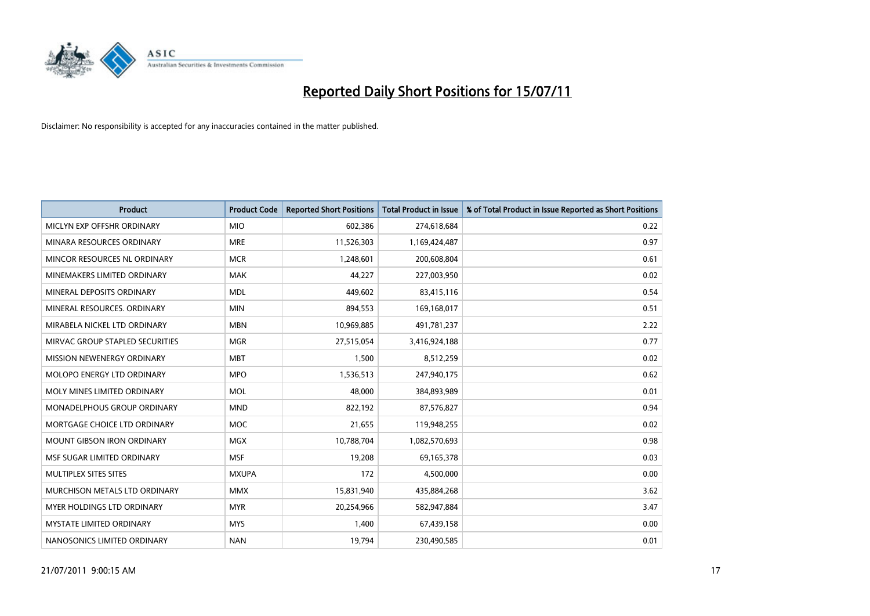

| <b>Product</b>                     | <b>Product Code</b> | <b>Reported Short Positions</b> | Total Product in Issue | % of Total Product in Issue Reported as Short Positions |
|------------------------------------|---------------------|---------------------------------|------------------------|---------------------------------------------------------|
| MICLYN EXP OFFSHR ORDINARY         | <b>MIO</b>          | 602,386                         | 274,618,684            | 0.22                                                    |
| MINARA RESOURCES ORDINARY          | <b>MRE</b>          | 11,526,303                      | 1,169,424,487          | 0.97                                                    |
| MINCOR RESOURCES NL ORDINARY       | <b>MCR</b>          | 1,248,601                       | 200,608,804            | 0.61                                                    |
| MINEMAKERS LIMITED ORDINARY        | <b>MAK</b>          | 44,227                          | 227,003,950            | 0.02                                                    |
| MINERAL DEPOSITS ORDINARY          | <b>MDL</b>          | 449.602                         | 83,415,116             | 0.54                                                    |
| MINERAL RESOURCES, ORDINARY        | <b>MIN</b>          | 894,553                         | 169,168,017            | 0.51                                                    |
| MIRABELA NICKEL LTD ORDINARY       | <b>MBN</b>          | 10,969,885                      | 491,781,237            | 2.22                                                    |
| MIRVAC GROUP STAPLED SECURITIES    | <b>MGR</b>          | 27,515,054                      | 3,416,924,188          | 0.77                                                    |
| MISSION NEWENERGY ORDINARY         | <b>MBT</b>          | 1,500                           | 8,512,259              | 0.02                                                    |
| MOLOPO ENERGY LTD ORDINARY         | <b>MPO</b>          | 1,536,513                       | 247,940,175            | 0.62                                                    |
| MOLY MINES LIMITED ORDINARY        | <b>MOL</b>          | 48.000                          | 384,893,989            | 0.01                                                    |
| <b>MONADELPHOUS GROUP ORDINARY</b> | <b>MND</b>          | 822,192                         | 87,576,827             | 0.94                                                    |
| MORTGAGE CHOICE LTD ORDINARY       | <b>MOC</b>          | 21.655                          | 119,948,255            | 0.02                                                    |
| <b>MOUNT GIBSON IRON ORDINARY</b>  | <b>MGX</b>          | 10,788,704                      | 1,082,570,693          | 0.98                                                    |
| MSF SUGAR LIMITED ORDINARY         | <b>MSF</b>          | 19,208                          | 69,165,378             | 0.03                                                    |
| MULTIPLEX SITES SITES              | <b>MXUPA</b>        | 172                             | 4,500,000              | 0.00                                                    |
| MURCHISON METALS LTD ORDINARY      | <b>MMX</b>          | 15,831,940                      | 435,884,268            | 3.62                                                    |
| MYER HOLDINGS LTD ORDINARY         | <b>MYR</b>          | 20,254,966                      | 582,947,884            | 3.47                                                    |
| <b>MYSTATE LIMITED ORDINARY</b>    | <b>MYS</b>          | 1,400                           | 67,439,158             | 0.00                                                    |
| NANOSONICS LIMITED ORDINARY        | <b>NAN</b>          | 19.794                          | 230,490,585            | 0.01                                                    |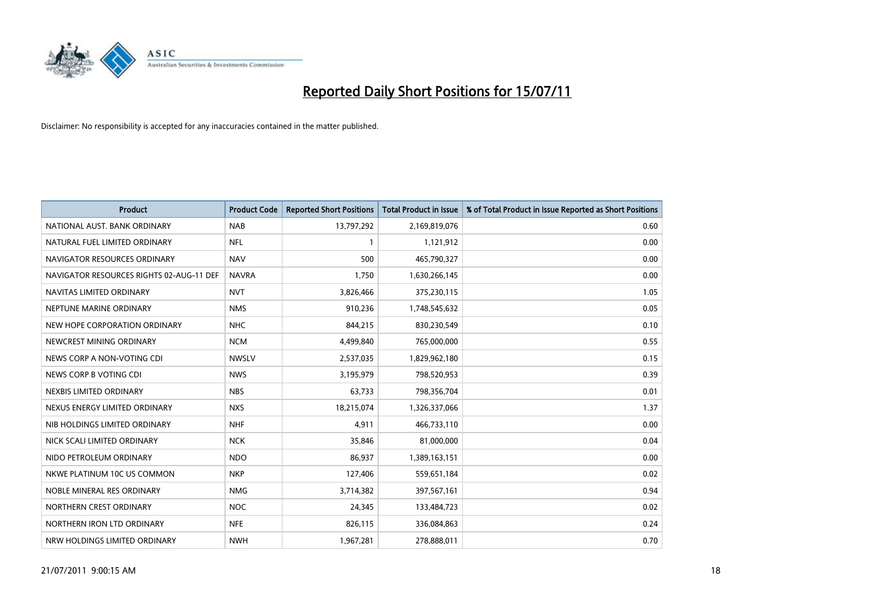

| <b>Product</b>                           | <b>Product Code</b> | <b>Reported Short Positions</b> | <b>Total Product in Issue</b> | % of Total Product in Issue Reported as Short Positions |
|------------------------------------------|---------------------|---------------------------------|-------------------------------|---------------------------------------------------------|
| NATIONAL AUST, BANK ORDINARY             | <b>NAB</b>          | 13,797,292                      | 2,169,819,076                 | 0.60                                                    |
| NATURAL FUEL LIMITED ORDINARY            | <b>NFL</b>          |                                 | 1,121,912                     | 0.00                                                    |
| NAVIGATOR RESOURCES ORDINARY             | <b>NAV</b>          | 500                             | 465,790,327                   | 0.00                                                    |
| NAVIGATOR RESOURCES RIGHTS 02-AUG-11 DEF | <b>NAVRA</b>        | 1,750                           | 1,630,266,145                 | 0.00                                                    |
| NAVITAS LIMITED ORDINARY                 | <b>NVT</b>          | 3,826,466                       | 375,230,115                   | 1.05                                                    |
| NEPTUNE MARINE ORDINARY                  | <b>NMS</b>          | 910,236                         | 1,748,545,632                 | 0.05                                                    |
| NEW HOPE CORPORATION ORDINARY            | <b>NHC</b>          | 844,215                         | 830,230,549                   | 0.10                                                    |
| NEWCREST MINING ORDINARY                 | <b>NCM</b>          | 4,499,840                       | 765,000,000                   | 0.55                                                    |
| NEWS CORP A NON-VOTING CDI               | <b>NWSLV</b>        | 2,537,035                       | 1,829,962,180                 | 0.15                                                    |
| NEWS CORP B VOTING CDI                   | <b>NWS</b>          | 3,195,979                       | 798,520,953                   | 0.39                                                    |
| NEXBIS LIMITED ORDINARY                  | <b>NBS</b>          | 63,733                          | 798,356,704                   | 0.01                                                    |
| NEXUS ENERGY LIMITED ORDINARY            | <b>NXS</b>          | 18,215,074                      | 1,326,337,066                 | 1.37                                                    |
| NIB HOLDINGS LIMITED ORDINARY            | <b>NHF</b>          | 4,911                           | 466,733,110                   | 0.00                                                    |
| NICK SCALI LIMITED ORDINARY              | <b>NCK</b>          | 35,846                          | 81,000,000                    | 0.04                                                    |
| NIDO PETROLEUM ORDINARY                  | <b>NDO</b>          | 86,937                          | 1,389,163,151                 | 0.00                                                    |
| NKWE PLATINUM 10C US COMMON              | <b>NKP</b>          | 127,406                         | 559,651,184                   | 0.02                                                    |
| NOBLE MINERAL RES ORDINARY               | <b>NMG</b>          | 3,714,382                       | 397,567,161                   | 0.94                                                    |
| NORTHERN CREST ORDINARY                  | <b>NOC</b>          | 24,345                          | 133,484,723                   | 0.02                                                    |
| NORTHERN IRON LTD ORDINARY               | <b>NFE</b>          | 826,115                         | 336,084,863                   | 0.24                                                    |
| NRW HOLDINGS LIMITED ORDINARY            | <b>NWH</b>          | 1,967,281                       | 278,888,011                   | 0.70                                                    |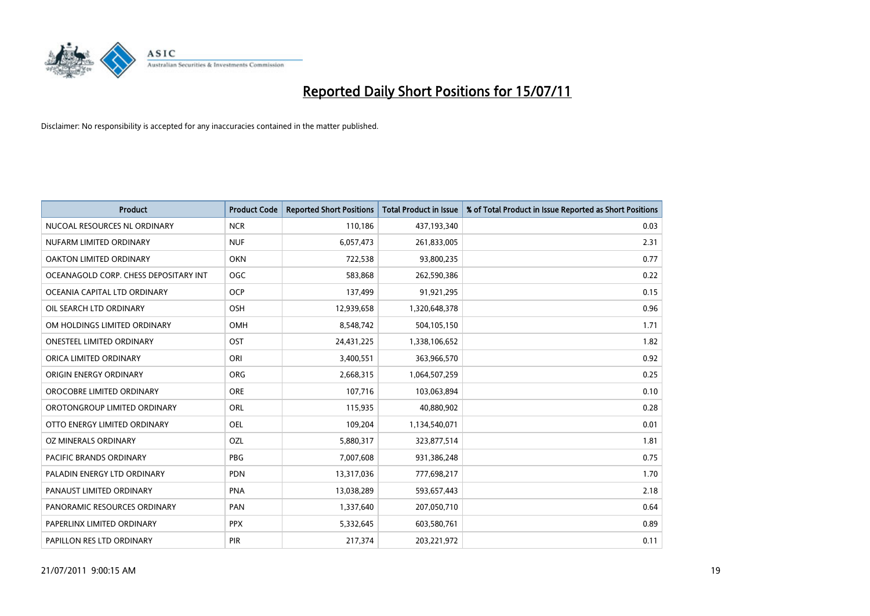

| <b>Product</b>                        | <b>Product Code</b> | <b>Reported Short Positions</b> | Total Product in Issue | % of Total Product in Issue Reported as Short Positions |
|---------------------------------------|---------------------|---------------------------------|------------------------|---------------------------------------------------------|
| NUCOAL RESOURCES NL ORDINARY          | <b>NCR</b>          | 110,186                         | 437,193,340            | 0.03                                                    |
| NUFARM LIMITED ORDINARY               | <b>NUF</b>          | 6,057,473                       | 261,833,005            | 2.31                                                    |
| OAKTON LIMITED ORDINARY               | <b>OKN</b>          | 722,538                         | 93,800,235             | 0.77                                                    |
| OCEANAGOLD CORP. CHESS DEPOSITARY INT | <b>OGC</b>          | 583,868                         | 262,590,386            | 0.22                                                    |
| OCEANIA CAPITAL LTD ORDINARY          | <b>OCP</b>          | 137,499                         | 91,921,295             | 0.15                                                    |
| OIL SEARCH LTD ORDINARY               | OSH                 | 12,939,658                      | 1,320,648,378          | 0.96                                                    |
| OM HOLDINGS LIMITED ORDINARY          | <b>OMH</b>          | 8,548,742                       | 504,105,150            | 1.71                                                    |
| ONESTEEL LIMITED ORDINARY             | OST                 | 24,431,225                      | 1,338,106,652          | 1.82                                                    |
| ORICA LIMITED ORDINARY                | ORI                 | 3,400,551                       | 363,966,570            | 0.92                                                    |
| ORIGIN ENERGY ORDINARY                | <b>ORG</b>          | 2,668,315                       | 1,064,507,259          | 0.25                                                    |
| OROCOBRE LIMITED ORDINARY             | <b>ORE</b>          | 107,716                         | 103,063,894            | 0.10                                                    |
| OROTONGROUP LIMITED ORDINARY          | ORL                 | 115,935                         | 40,880,902             | 0.28                                                    |
| OTTO ENERGY LIMITED ORDINARY          | OEL                 | 109,204                         | 1,134,540,071          | 0.01                                                    |
| OZ MINERALS ORDINARY                  | OZL                 | 5,880,317                       | 323,877,514            | 1.81                                                    |
| <b>PACIFIC BRANDS ORDINARY</b>        | <b>PBG</b>          | 7,007,608                       | 931,386,248            | 0.75                                                    |
| PALADIN ENERGY LTD ORDINARY           | <b>PDN</b>          | 13,317,036                      | 777,698,217            | 1.70                                                    |
| PANAUST LIMITED ORDINARY              | <b>PNA</b>          | 13,038,289                      | 593,657,443            | 2.18                                                    |
| PANORAMIC RESOURCES ORDINARY          | PAN                 | 1,337,640                       | 207,050,710            | 0.64                                                    |
| PAPERLINX LIMITED ORDINARY            | <b>PPX</b>          | 5,332,645                       | 603,580,761            | 0.89                                                    |
| PAPILLON RES LTD ORDINARY             | PIR                 | 217,374                         | 203,221,972            | 0.11                                                    |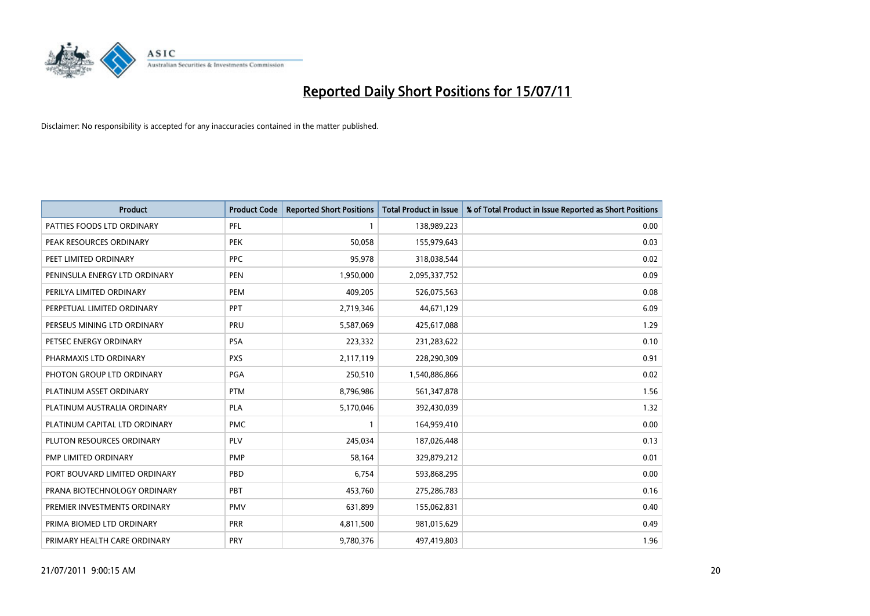

| <b>Product</b>                | <b>Product Code</b> | <b>Reported Short Positions</b> | <b>Total Product in Issue</b> | % of Total Product in Issue Reported as Short Positions |
|-------------------------------|---------------------|---------------------------------|-------------------------------|---------------------------------------------------------|
| PATTIES FOODS LTD ORDINARY    | PFL                 |                                 | 138,989,223                   | 0.00                                                    |
| PEAK RESOURCES ORDINARY       | <b>PEK</b>          | 50,058                          | 155,979,643                   | 0.03                                                    |
| PEET LIMITED ORDINARY         | PPC                 | 95.978                          | 318,038,544                   | 0.02                                                    |
| PENINSULA ENERGY LTD ORDINARY | <b>PEN</b>          | 1,950,000                       | 2,095,337,752                 | 0.09                                                    |
| PERILYA LIMITED ORDINARY      | PEM                 | 409,205                         | 526,075,563                   | 0.08                                                    |
| PERPETUAL LIMITED ORDINARY    | PPT                 | 2,719,346                       | 44,671,129                    | 6.09                                                    |
| PERSEUS MINING LTD ORDINARY   | PRU                 | 5,587,069                       | 425,617,088                   | 1.29                                                    |
| PETSEC ENERGY ORDINARY        | <b>PSA</b>          | 223,332                         | 231,283,622                   | 0.10                                                    |
| PHARMAXIS LTD ORDINARY        | <b>PXS</b>          | 2,117,119                       | 228,290,309                   | 0.91                                                    |
| PHOTON GROUP LTD ORDINARY     | <b>PGA</b>          | 250,510                         | 1,540,886,866                 | 0.02                                                    |
| PLATINUM ASSET ORDINARY       | <b>PTM</b>          | 8,796,986                       | 561,347,878                   | 1.56                                                    |
| PLATINUM AUSTRALIA ORDINARY   | <b>PLA</b>          | 5,170,046                       | 392,430,039                   | 1.32                                                    |
| PLATINUM CAPITAL LTD ORDINARY | <b>PMC</b>          |                                 | 164,959,410                   | 0.00                                                    |
| PLUTON RESOURCES ORDINARY     | PLV                 | 245,034                         | 187,026,448                   | 0.13                                                    |
| <b>PMP LIMITED ORDINARY</b>   | <b>PMP</b>          | 58,164                          | 329,879,212                   | 0.01                                                    |
| PORT BOUVARD LIMITED ORDINARY | PBD                 | 6,754                           | 593,868,295                   | 0.00                                                    |
| PRANA BIOTECHNOLOGY ORDINARY  | PBT                 | 453,760                         | 275,286,783                   | 0.16                                                    |
| PREMIER INVESTMENTS ORDINARY  | <b>PMV</b>          | 631,899                         | 155,062,831                   | 0.40                                                    |
| PRIMA BIOMED LTD ORDINARY     | <b>PRR</b>          | 4,811,500                       | 981,015,629                   | 0.49                                                    |
| PRIMARY HEALTH CARE ORDINARY  | <b>PRY</b>          | 9,780,376                       | 497,419,803                   | 1.96                                                    |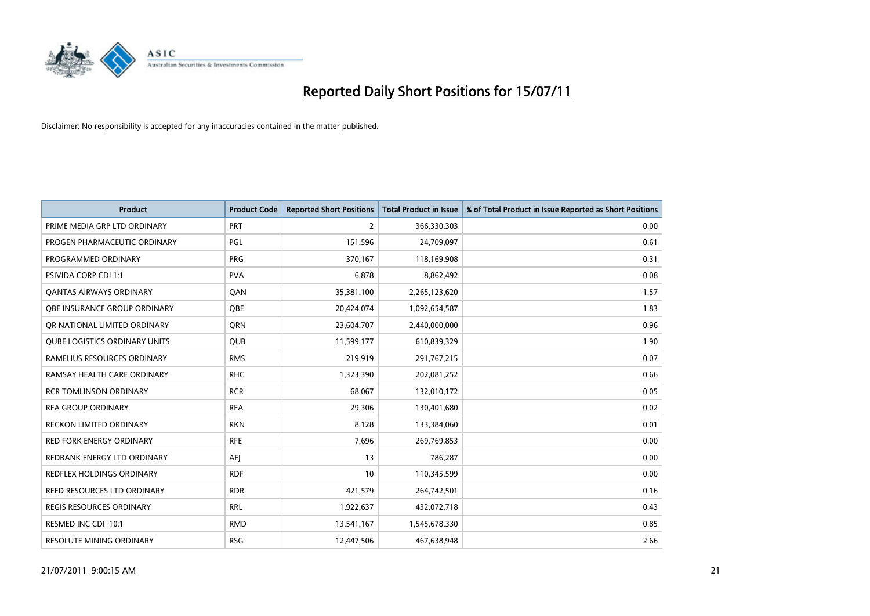

| <b>Product</b>                       | <b>Product Code</b> | <b>Reported Short Positions</b> | Total Product in Issue | % of Total Product in Issue Reported as Short Positions |
|--------------------------------------|---------------------|---------------------------------|------------------------|---------------------------------------------------------|
| PRIME MEDIA GRP LTD ORDINARY         | PRT                 | $\overline{2}$                  | 366,330,303            | 0.00                                                    |
| PROGEN PHARMACEUTIC ORDINARY         | PGL                 | 151,596                         | 24,709,097             | 0.61                                                    |
| PROGRAMMED ORDINARY                  | <b>PRG</b>          | 370,167                         | 118,169,908            | 0.31                                                    |
| PSIVIDA CORP CDI 1:1                 | <b>PVA</b>          | 6,878                           | 8,862,492              | 0.08                                                    |
| OANTAS AIRWAYS ORDINARY              | <b>OAN</b>          | 35,381,100                      | 2,265,123,620          | 1.57                                                    |
| OBE INSURANCE GROUP ORDINARY         | <b>OBE</b>          | 20,424,074                      | 1,092,654,587          | 1.83                                                    |
| OR NATIONAL LIMITED ORDINARY         | <b>ORN</b>          | 23,604,707                      | 2,440,000,000          | 0.96                                                    |
| <b>QUBE LOGISTICS ORDINARY UNITS</b> | <b>QUB</b>          | 11,599,177                      | 610,839,329            | 1.90                                                    |
| RAMELIUS RESOURCES ORDINARY          | <b>RMS</b>          | 219,919                         | 291,767,215            | 0.07                                                    |
| RAMSAY HEALTH CARE ORDINARY          | <b>RHC</b>          | 1,323,390                       | 202,081,252            | 0.66                                                    |
| <b>RCR TOMLINSON ORDINARY</b>        | <b>RCR</b>          | 68,067                          | 132,010,172            | 0.05                                                    |
| <b>REA GROUP ORDINARY</b>            | <b>REA</b>          | 29,306                          | 130,401,680            | 0.02                                                    |
| <b>RECKON LIMITED ORDINARY</b>       | <b>RKN</b>          | 8,128                           | 133,384,060            | 0.01                                                    |
| <b>RED FORK ENERGY ORDINARY</b>      | <b>RFE</b>          | 7,696                           | 269,769,853            | 0.00                                                    |
| REDBANK ENERGY LTD ORDINARY          | <b>AEI</b>          | 13                              | 786,287                | 0.00                                                    |
| REDFLEX HOLDINGS ORDINARY            | <b>RDF</b>          | 10                              | 110,345,599            | 0.00                                                    |
| REED RESOURCES LTD ORDINARY          | <b>RDR</b>          | 421,579                         | 264,742,501            | 0.16                                                    |
| <b>REGIS RESOURCES ORDINARY</b>      | <b>RRL</b>          | 1,922,637                       | 432,072,718            | 0.43                                                    |
| RESMED INC CDI 10:1                  | <b>RMD</b>          | 13,541,167                      | 1,545,678,330          | 0.85                                                    |
| <b>RESOLUTE MINING ORDINARY</b>      | <b>RSG</b>          | 12,447,506                      | 467,638,948            | 2.66                                                    |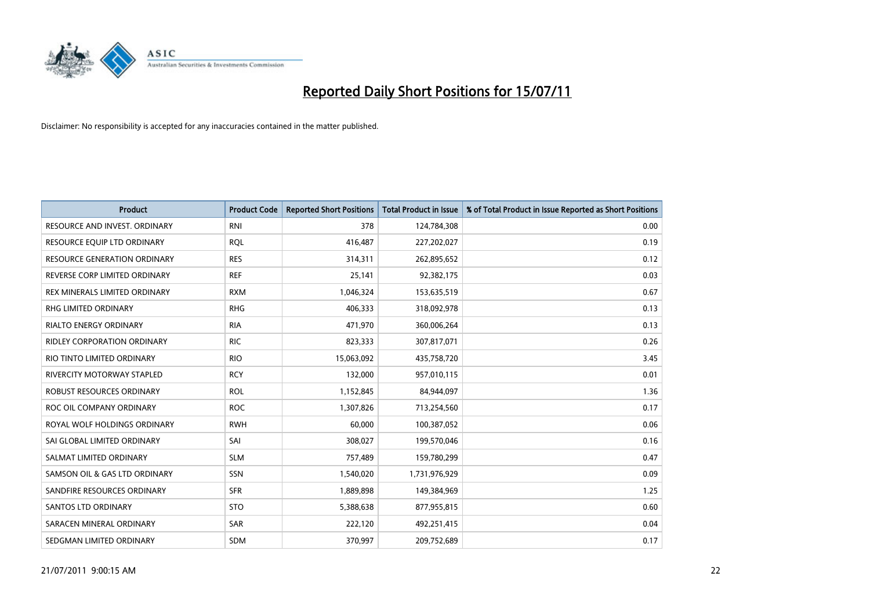

| <b>Product</b>                      | <b>Product Code</b> | <b>Reported Short Positions</b> | <b>Total Product in Issue</b> | % of Total Product in Issue Reported as Short Positions |
|-------------------------------------|---------------------|---------------------------------|-------------------------------|---------------------------------------------------------|
| RESOURCE AND INVEST. ORDINARY       | <b>RNI</b>          | 378                             | 124,784,308                   | 0.00                                                    |
| RESOURCE EQUIP LTD ORDINARY         | <b>ROL</b>          | 416,487                         | 227,202,027                   | 0.19                                                    |
| <b>RESOURCE GENERATION ORDINARY</b> | <b>RES</b>          | 314,311                         | 262,895,652                   | 0.12                                                    |
| REVERSE CORP LIMITED ORDINARY       | <b>REF</b>          | 25,141                          | 92,382,175                    | 0.03                                                    |
| REX MINERALS LIMITED ORDINARY       | <b>RXM</b>          | 1,046,324                       | 153,635,519                   | 0.67                                                    |
| RHG LIMITED ORDINARY                | <b>RHG</b>          | 406,333                         | 318,092,978                   | 0.13                                                    |
| <b>RIALTO ENERGY ORDINARY</b>       | <b>RIA</b>          | 471,970                         | 360,006,264                   | 0.13                                                    |
| RIDLEY CORPORATION ORDINARY         | <b>RIC</b>          | 823,333                         | 307,817,071                   | 0.26                                                    |
| RIO TINTO LIMITED ORDINARY          | <b>RIO</b>          | 15,063,092                      | 435,758,720                   | 3.45                                                    |
| <b>RIVERCITY MOTORWAY STAPLED</b>   | <b>RCY</b>          | 132,000                         | 957,010,115                   | 0.01                                                    |
| ROBUST RESOURCES ORDINARY           | <b>ROL</b>          | 1,152,845                       | 84,944,097                    | 1.36                                                    |
| ROC OIL COMPANY ORDINARY            | <b>ROC</b>          | 1,307,826                       | 713,254,560                   | 0.17                                                    |
| ROYAL WOLF HOLDINGS ORDINARY        | <b>RWH</b>          | 60,000                          | 100,387,052                   | 0.06                                                    |
| SAI GLOBAL LIMITED ORDINARY         | SAI                 | 308,027                         | 199,570,046                   | 0.16                                                    |
| SALMAT LIMITED ORDINARY             | <b>SLM</b>          | 757,489                         | 159,780,299                   | 0.47                                                    |
| SAMSON OIL & GAS LTD ORDINARY       | SSN                 | 1,540,020                       | 1,731,976,929                 | 0.09                                                    |
| SANDFIRE RESOURCES ORDINARY         | <b>SFR</b>          | 1,889,898                       | 149,384,969                   | 1.25                                                    |
| <b>SANTOS LTD ORDINARY</b>          | <b>STO</b>          | 5,388,638                       | 877,955,815                   | 0.60                                                    |
| SARACEN MINERAL ORDINARY            | <b>SAR</b>          | 222,120                         | 492,251,415                   | 0.04                                                    |
| SEDGMAN LIMITED ORDINARY            | <b>SDM</b>          | 370,997                         | 209,752,689                   | 0.17                                                    |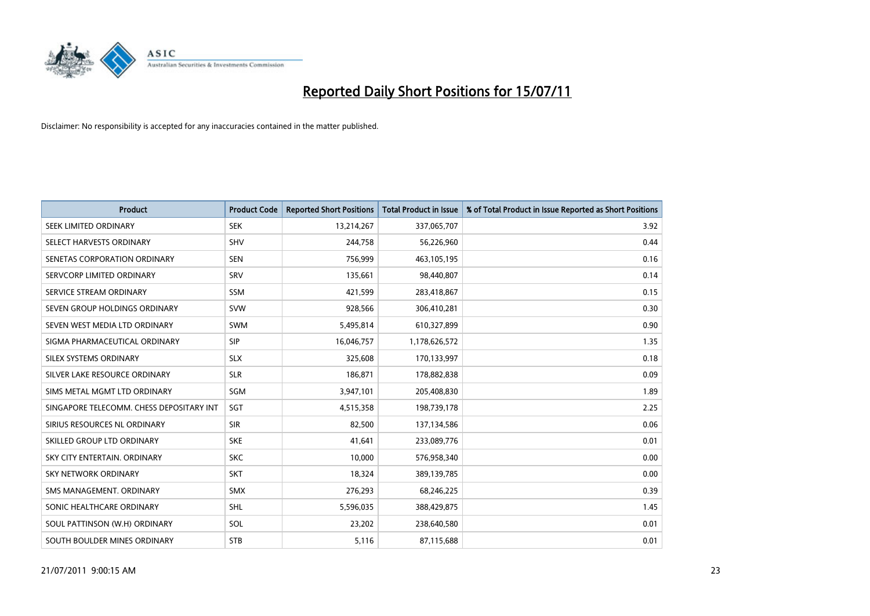

| <b>Product</b>                           | <b>Product Code</b> | <b>Reported Short Positions</b> | Total Product in Issue | % of Total Product in Issue Reported as Short Positions |
|------------------------------------------|---------------------|---------------------------------|------------------------|---------------------------------------------------------|
| SEEK LIMITED ORDINARY                    | <b>SEK</b>          | 13,214,267                      | 337,065,707            | 3.92                                                    |
| SELECT HARVESTS ORDINARY                 | SHV                 | 244,758                         | 56,226,960             | 0.44                                                    |
| SENETAS CORPORATION ORDINARY             | <b>SEN</b>          | 756,999                         | 463,105,195            | 0.16                                                    |
| SERVCORP LIMITED ORDINARY                | SRV                 | 135,661                         | 98,440,807             | 0.14                                                    |
| SERVICE STREAM ORDINARY                  | <b>SSM</b>          | 421,599                         | 283,418,867            | 0.15                                                    |
| SEVEN GROUP HOLDINGS ORDINARY            | <b>SVW</b>          | 928,566                         | 306,410,281            | 0.30                                                    |
| SEVEN WEST MEDIA LTD ORDINARY            | <b>SWM</b>          | 5,495,814                       | 610,327,899            | 0.90                                                    |
| SIGMA PHARMACEUTICAL ORDINARY            | SIP                 | 16,046,757                      | 1,178,626,572          | 1.35                                                    |
| SILEX SYSTEMS ORDINARY                   | <b>SLX</b>          | 325,608                         | 170,133,997            | 0.18                                                    |
| SILVER LAKE RESOURCE ORDINARY            | <b>SLR</b>          | 186,871                         | 178,882,838            | 0.09                                                    |
| SIMS METAL MGMT LTD ORDINARY             | SGM                 | 3,947,101                       | 205,408,830            | 1.89                                                    |
| SINGAPORE TELECOMM. CHESS DEPOSITARY INT | SGT                 | 4,515,358                       | 198,739,178            | 2.25                                                    |
| SIRIUS RESOURCES NL ORDINARY             | <b>SIR</b>          | 82,500                          | 137,134,586            | 0.06                                                    |
| SKILLED GROUP LTD ORDINARY               | <b>SKE</b>          | 41,641                          | 233,089,776            | 0.01                                                    |
| SKY CITY ENTERTAIN, ORDINARY             | <b>SKC</b>          | 10,000                          | 576,958,340            | 0.00                                                    |
| SKY NETWORK ORDINARY                     | <b>SKT</b>          | 18,324                          | 389,139,785            | 0.00                                                    |
| SMS MANAGEMENT. ORDINARY                 | <b>SMX</b>          | 276,293                         | 68,246,225             | 0.39                                                    |
| SONIC HEALTHCARE ORDINARY                | <b>SHL</b>          | 5,596,035                       | 388,429,875            | 1.45                                                    |
| SOUL PATTINSON (W.H) ORDINARY            | SOL                 | 23,202                          | 238,640,580            | 0.01                                                    |
| SOUTH BOULDER MINES ORDINARY             | <b>STB</b>          | 5,116                           | 87,115,688             | 0.01                                                    |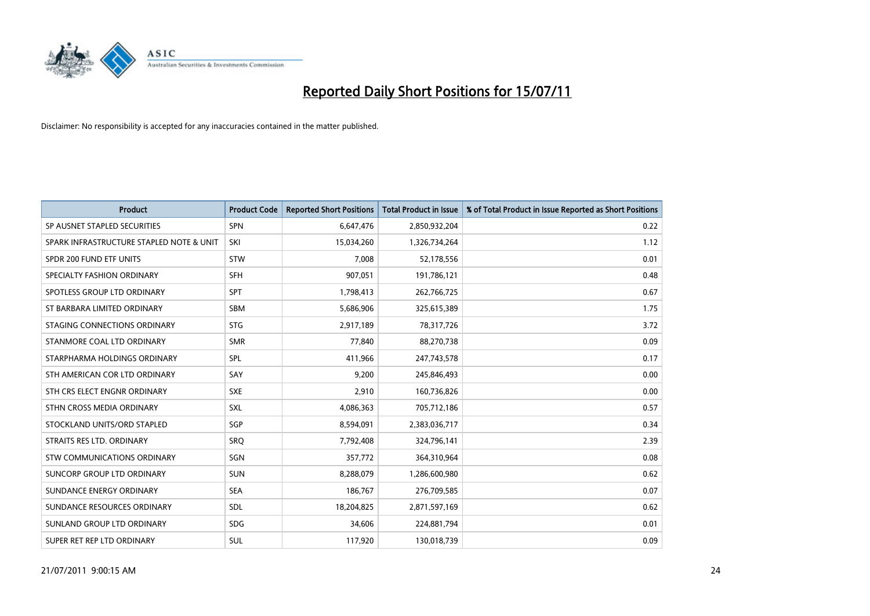

| <b>Product</b>                           | <b>Product Code</b> | <b>Reported Short Positions</b> | Total Product in Issue | % of Total Product in Issue Reported as Short Positions |
|------------------------------------------|---------------------|---------------------------------|------------------------|---------------------------------------------------------|
| SP AUSNET STAPLED SECURITIES             | <b>SPN</b>          | 6,647,476                       | 2,850,932,204          | 0.22                                                    |
| SPARK INFRASTRUCTURE STAPLED NOTE & UNIT | SKI                 | 15,034,260                      | 1,326,734,264          | 1.12                                                    |
| SPDR 200 FUND ETF UNITS                  | <b>STW</b>          | 7,008                           | 52,178,556             | 0.01                                                    |
| SPECIALTY FASHION ORDINARY               | <b>SFH</b>          | 907,051                         | 191,786,121            | 0.48                                                    |
| SPOTLESS GROUP LTD ORDINARY              | <b>SPT</b>          | 1,798,413                       | 262,766,725            | 0.67                                                    |
| ST BARBARA LIMITED ORDINARY              | SBM                 | 5,686,906                       | 325,615,389            | 1.75                                                    |
| STAGING CONNECTIONS ORDINARY             | <b>STG</b>          | 2,917,189                       | 78,317,726             | 3.72                                                    |
| STANMORE COAL LTD ORDINARY               | <b>SMR</b>          | 77,840                          | 88,270,738             | 0.09                                                    |
| STARPHARMA HOLDINGS ORDINARY             | <b>SPL</b>          | 411,966                         | 247,743,578            | 0.17                                                    |
| STH AMERICAN COR LTD ORDINARY            | SAY                 | 9,200                           | 245,846,493            | 0.00                                                    |
| STH CRS ELECT ENGNR ORDINARY             | <b>SXE</b>          | 2,910                           | 160,736,826            | 0.00                                                    |
| STHN CROSS MEDIA ORDINARY                | <b>SXL</b>          | 4,086,363                       | 705,712,186            | 0.57                                                    |
| STOCKLAND UNITS/ORD STAPLED              | SGP                 | 8,594,091                       | 2,383,036,717          | 0.34                                                    |
| STRAITS RES LTD. ORDINARY                | <b>SRO</b>          | 7,792,408                       | 324,796,141            | 2.39                                                    |
| <b>STW COMMUNICATIONS ORDINARY</b>       | SGN                 | 357,772                         | 364,310,964            | 0.08                                                    |
| SUNCORP GROUP LTD ORDINARY               | <b>SUN</b>          | 8,288,079                       | 1,286,600,980          | 0.62                                                    |
| SUNDANCE ENERGY ORDINARY                 | <b>SEA</b>          | 186,767                         | 276,709,585            | 0.07                                                    |
| SUNDANCE RESOURCES ORDINARY              | <b>SDL</b>          | 18,204,825                      | 2,871,597,169          | 0.62                                                    |
| SUNLAND GROUP LTD ORDINARY               | <b>SDG</b>          | 34,606                          | 224,881,794            | 0.01                                                    |
| SUPER RET REP LTD ORDINARY               | SUL                 | 117,920                         | 130,018,739            | 0.09                                                    |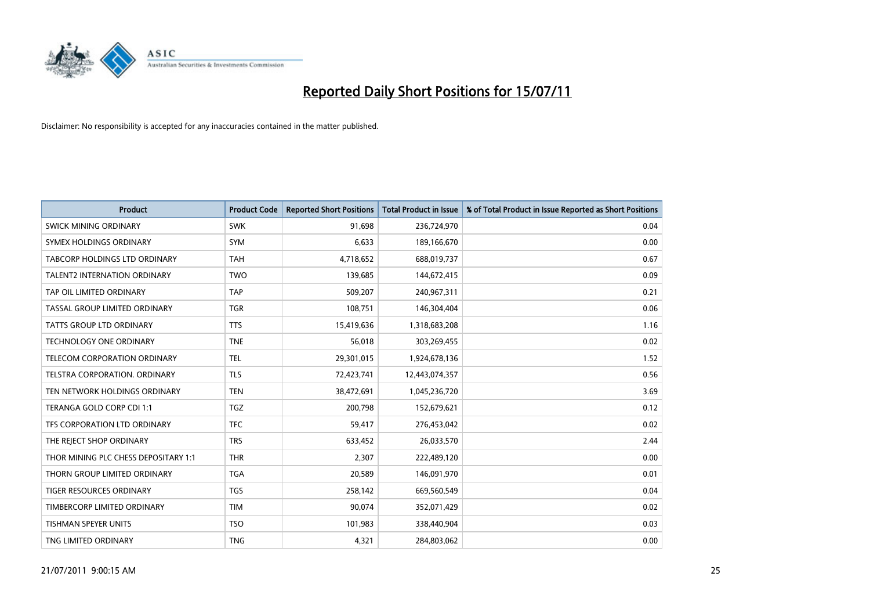

| <b>Product</b>                       | <b>Product Code</b> | <b>Reported Short Positions</b> | Total Product in Issue | % of Total Product in Issue Reported as Short Positions |
|--------------------------------------|---------------------|---------------------------------|------------------------|---------------------------------------------------------|
| <b>SWICK MINING ORDINARY</b>         | <b>SWK</b>          | 91,698                          | 236,724,970            | 0.04                                                    |
| SYMEX HOLDINGS ORDINARY              | <b>SYM</b>          | 6,633                           | 189,166,670            | 0.00                                                    |
| TABCORP HOLDINGS LTD ORDINARY        | <b>TAH</b>          | 4,718,652                       | 688,019,737            | 0.67                                                    |
| TALENT2 INTERNATION ORDINARY         | <b>TWO</b>          | 139,685                         | 144,672,415            | 0.09                                                    |
| TAP OIL LIMITED ORDINARY             | <b>TAP</b>          | 509,207                         | 240,967,311            | 0.21                                                    |
| TASSAL GROUP LIMITED ORDINARY        | <b>TGR</b>          | 108,751                         | 146,304,404            | 0.06                                                    |
| <b>TATTS GROUP LTD ORDINARY</b>      | <b>TTS</b>          | 15,419,636                      | 1,318,683,208          | 1.16                                                    |
| TECHNOLOGY ONE ORDINARY              | <b>TNE</b>          | 56,018                          | 303,269,455            | 0.02                                                    |
| TELECOM CORPORATION ORDINARY         | <b>TEL</b>          | 29,301,015                      | 1,924,678,136          | 1.52                                                    |
| TELSTRA CORPORATION, ORDINARY        | <b>TLS</b>          | 72,423,741                      | 12,443,074,357         | 0.56                                                    |
| TEN NETWORK HOLDINGS ORDINARY        | <b>TEN</b>          | 38,472,691                      | 1,045,236,720          | 3.69                                                    |
| TERANGA GOLD CORP CDI 1:1            | <b>TGZ</b>          | 200,798                         | 152,679,621            | 0.12                                                    |
| TFS CORPORATION LTD ORDINARY         | <b>TFC</b>          | 59,417                          | 276,453,042            | 0.02                                                    |
| THE REJECT SHOP ORDINARY             | <b>TRS</b>          | 633,452                         | 26,033,570             | 2.44                                                    |
| THOR MINING PLC CHESS DEPOSITARY 1:1 | <b>THR</b>          | 2,307                           | 222,489,120            | 0.00                                                    |
| THORN GROUP LIMITED ORDINARY         | <b>TGA</b>          | 20,589                          | 146,091,970            | 0.01                                                    |
| TIGER RESOURCES ORDINARY             | <b>TGS</b>          | 258,142                         | 669,560,549            | 0.04                                                    |
| TIMBERCORP LIMITED ORDINARY          | <b>TIM</b>          | 90,074                          | 352,071,429            | 0.02                                                    |
| TISHMAN SPEYER UNITS                 | <b>TSO</b>          | 101,983                         | 338,440,904            | 0.03                                                    |
| TNG LIMITED ORDINARY                 | <b>TNG</b>          | 4,321                           | 284,803,062            | 0.00                                                    |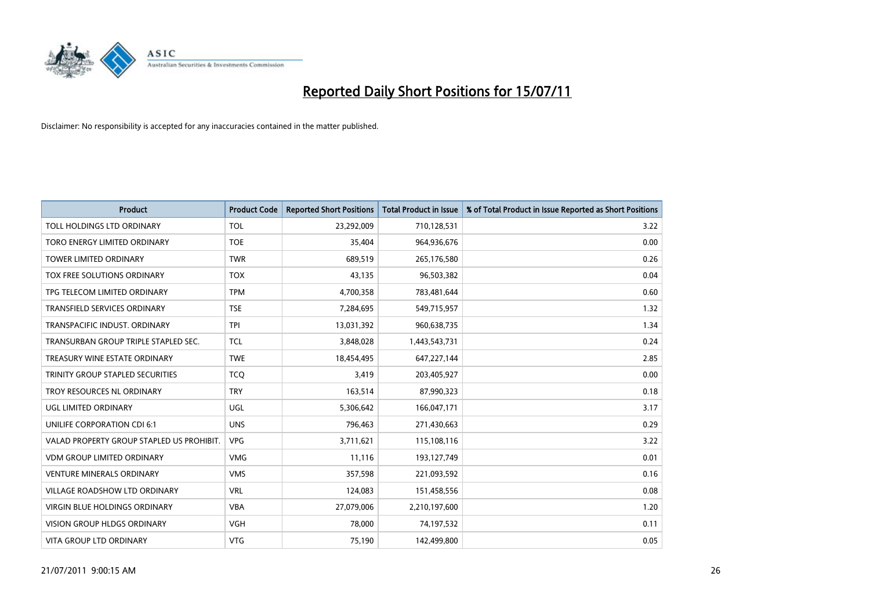

| <b>Product</b>                            | <b>Product Code</b> | <b>Reported Short Positions</b> | <b>Total Product in Issue</b> | % of Total Product in Issue Reported as Short Positions |
|-------------------------------------------|---------------------|---------------------------------|-------------------------------|---------------------------------------------------------|
| TOLL HOLDINGS LTD ORDINARY                | <b>TOL</b>          | 23,292,009                      | 710,128,531                   | 3.22                                                    |
| TORO ENERGY LIMITED ORDINARY              | <b>TOE</b>          | 35,404                          | 964,936,676                   | 0.00                                                    |
| TOWER LIMITED ORDINARY                    | <b>TWR</b>          | 689,519                         | 265,176,580                   | 0.26                                                    |
| TOX FREE SOLUTIONS ORDINARY               | <b>TOX</b>          | 43,135                          | 96,503,382                    | 0.04                                                    |
| TPG TELECOM LIMITED ORDINARY              | <b>TPM</b>          | 4,700,358                       | 783,481,644                   | 0.60                                                    |
| <b>TRANSFIELD SERVICES ORDINARY</b>       | <b>TSE</b>          | 7,284,695                       | 549,715,957                   | 1.32                                                    |
| TRANSPACIFIC INDUST. ORDINARY             | <b>TPI</b>          | 13,031,392                      | 960,638,735                   | 1.34                                                    |
| TRANSURBAN GROUP TRIPLE STAPLED SEC.      | <b>TCL</b>          | 3,848,028                       | 1,443,543,731                 | 0.24                                                    |
| TREASURY WINE ESTATE ORDINARY             | <b>TWE</b>          | 18,454,495                      | 647,227,144                   | 2.85                                                    |
| TRINITY GROUP STAPLED SECURITIES          | <b>TCO</b>          | 3,419                           | 203,405,927                   | 0.00                                                    |
| TROY RESOURCES NL ORDINARY                | <b>TRY</b>          | 163,514                         | 87,990,323                    | 0.18                                                    |
| UGL LIMITED ORDINARY                      | UGL                 | 5,306,642                       | 166,047,171                   | 3.17                                                    |
| UNILIFE CORPORATION CDI 6:1               | <b>UNS</b>          | 796,463                         | 271,430,663                   | 0.29                                                    |
| VALAD PROPERTY GROUP STAPLED US PROHIBIT. | <b>VPG</b>          | 3,711,621                       | 115,108,116                   | 3.22                                                    |
| <b>VDM GROUP LIMITED ORDINARY</b>         | <b>VMG</b>          | 11,116                          | 193,127,749                   | 0.01                                                    |
| <b>VENTURE MINERALS ORDINARY</b>          | <b>VMS</b>          | 357,598                         | 221,093,592                   | 0.16                                                    |
| VILLAGE ROADSHOW LTD ORDINARY             | <b>VRL</b>          | 124,083                         | 151,458,556                   | 0.08                                                    |
| VIRGIN BLUE HOLDINGS ORDINARY             | <b>VBA</b>          | 27,079,006                      | 2,210,197,600                 | 1.20                                                    |
| <b>VISION GROUP HLDGS ORDINARY</b>        | <b>VGH</b>          | 78,000                          | 74,197,532                    | 0.11                                                    |
| VITA GROUP LTD ORDINARY                   | <b>VTG</b>          | 75,190                          | 142,499,800                   | 0.05                                                    |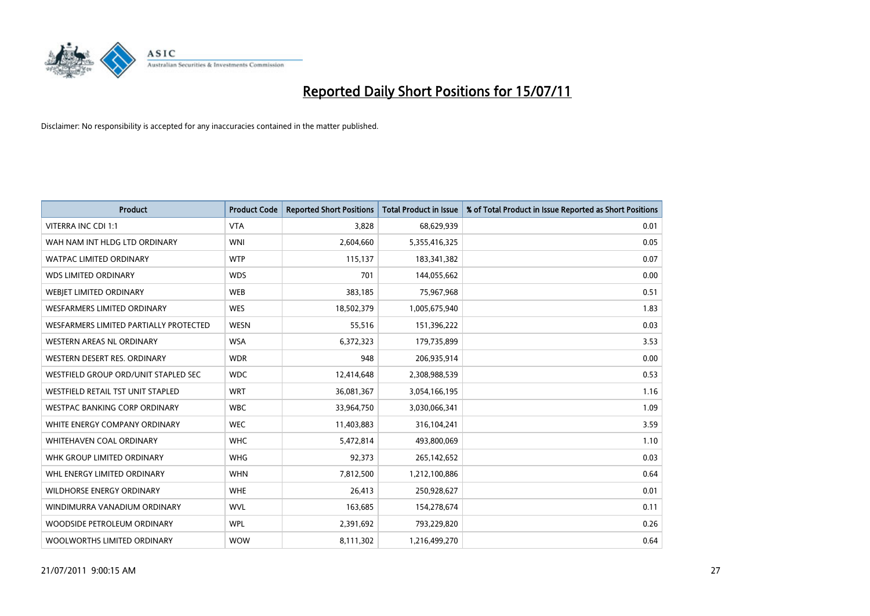

| <b>Product</b>                         | <b>Product Code</b> | <b>Reported Short Positions</b> | <b>Total Product in Issue</b> | % of Total Product in Issue Reported as Short Positions |
|----------------------------------------|---------------------|---------------------------------|-------------------------------|---------------------------------------------------------|
| <b>VITERRA INC CDI 1:1</b>             | <b>VTA</b>          | 3,828                           | 68,629,939                    | 0.01                                                    |
| WAH NAM INT HLDG LTD ORDINARY          | <b>WNI</b>          | 2,604,660                       | 5,355,416,325                 | 0.05                                                    |
| <b>WATPAC LIMITED ORDINARY</b>         | <b>WTP</b>          | 115,137                         | 183,341,382                   | 0.07                                                    |
| <b>WDS LIMITED ORDINARY</b>            | <b>WDS</b>          | 701                             | 144,055,662                   | 0.00                                                    |
| WEBJET LIMITED ORDINARY                | <b>WEB</b>          | 383,185                         | 75,967,968                    | 0.51                                                    |
| <b>WESFARMERS LIMITED ORDINARY</b>     | <b>WES</b>          | 18,502,379                      | 1,005,675,940                 | 1.83                                                    |
| WESFARMERS LIMITED PARTIALLY PROTECTED | <b>WESN</b>         | 55,516                          | 151,396,222                   | 0.03                                                    |
| <b>WESTERN AREAS NL ORDINARY</b>       | <b>WSA</b>          | 6,372,323                       | 179,735,899                   | 3.53                                                    |
| WESTERN DESERT RES. ORDINARY           | <b>WDR</b>          | 948                             | 206,935,914                   | 0.00                                                    |
| WESTFIELD GROUP ORD/UNIT STAPLED SEC   | <b>WDC</b>          | 12,414,648                      | 2,308,988,539                 | 0.53                                                    |
| WESTFIELD RETAIL TST UNIT STAPLED      | <b>WRT</b>          | 36,081,367                      | 3,054,166,195                 | 1.16                                                    |
| <b>WESTPAC BANKING CORP ORDINARY</b>   | <b>WBC</b>          | 33,964,750                      | 3,030,066,341                 | 1.09                                                    |
| WHITE ENERGY COMPANY ORDINARY          | <b>WEC</b>          | 11,403,883                      | 316,104,241                   | 3.59                                                    |
| <b>WHITEHAVEN COAL ORDINARY</b>        | <b>WHC</b>          | 5,472,814                       | 493,800,069                   | 1.10                                                    |
| WHK GROUP LIMITED ORDINARY             | <b>WHG</b>          | 92,373                          | 265,142,652                   | 0.03                                                    |
| WHL ENERGY LIMITED ORDINARY            | <b>WHN</b>          | 7,812,500                       | 1,212,100,886                 | 0.64                                                    |
| WILDHORSE ENERGY ORDINARY              | <b>WHE</b>          | 26,413                          | 250,928,627                   | 0.01                                                    |
| WINDIMURRA VANADIUM ORDINARY           | <b>WVL</b>          | 163,685                         | 154,278,674                   | 0.11                                                    |
| WOODSIDE PETROLEUM ORDINARY            | <b>WPL</b>          | 2,391,692                       | 793,229,820                   | 0.26                                                    |
| WOOLWORTHS LIMITED ORDINARY            | <b>WOW</b>          | 8,111,302                       | 1,216,499,270                 | 0.64                                                    |